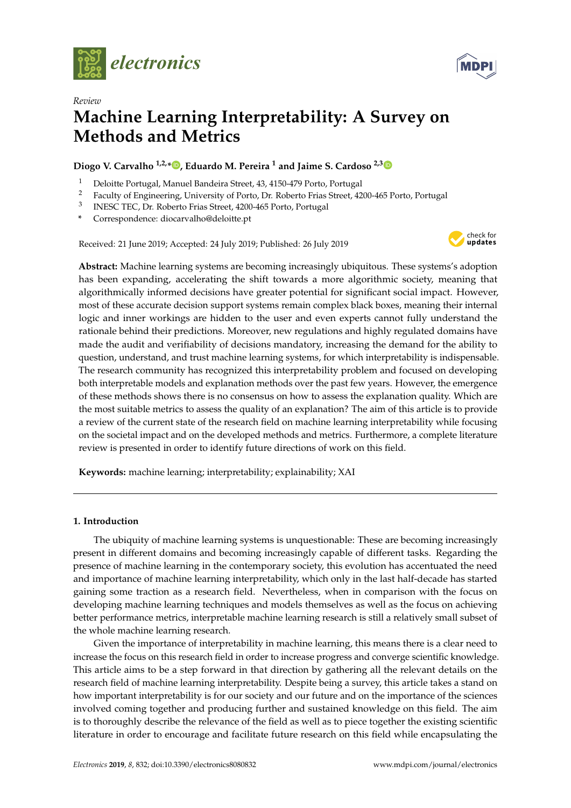



# *Review* **Machine Learning Interpretability: A Survey on Methods and Metrics**

# **Diogo V. Carvalho 1,2,[\\*](https://orcid.org/0000-0002-2349-4117) , Eduardo M. Pereira <sup>1</sup> and Jaime S. Cardoso 2,[3](https://orcid.org/0000-0002-3760-2473)**

- <sup>1</sup> Deloitte Portugal, Manuel Bandeira Street, 43, 4150-479 Porto, Portugal
- <sup>2</sup> Faculty of Engineering, University of Porto, Dr. Roberto Frias Street, 4200-465 Porto, Portugal
- 3 INESC TEC, Dr. Roberto Frias Street, 4200-465 Porto, Portugal
- **\*** Correspondence: diocarvalho@deloitte.pt

Received: 21 June 2019; Accepted: 24 July 2019; Published: 26 July 2019



**Abstract:** Machine learning systems are becoming increasingly ubiquitous. These systems's adoption has been expanding, accelerating the shift towards a more algorithmic society, meaning that algorithmically informed decisions have greater potential for significant social impact. However, most of these accurate decision support systems remain complex black boxes, meaning their internal logic and inner workings are hidden to the user and even experts cannot fully understand the rationale behind their predictions. Moreover, new regulations and highly regulated domains have made the audit and verifiability of decisions mandatory, increasing the demand for the ability to question, understand, and trust machine learning systems, for which interpretability is indispensable. The research community has recognized this interpretability problem and focused on developing both interpretable models and explanation methods over the past few years. However, the emergence of these methods shows there is no consensus on how to assess the explanation quality. Which are the most suitable metrics to assess the quality of an explanation? The aim of this article is to provide a review of the current state of the research field on machine learning interpretability while focusing on the societal impact and on the developed methods and metrics. Furthermore, a complete literature review is presented in order to identify future directions of work on this field.

**Keywords:** machine learning; interpretability; explainability; XAI

# **1. Introduction**

The ubiquity of machine learning systems is unquestionable: These are becoming increasingly present in different domains and becoming increasingly capable of different tasks. Regarding the presence of machine learning in the contemporary society, this evolution has accentuated the need and importance of machine learning interpretability, which only in the last half-decade has started gaining some traction as a research field. Nevertheless, when in comparison with the focus on developing machine learning techniques and models themselves as well as the focus on achieving better performance metrics, interpretable machine learning research is still a relatively small subset of the whole machine learning research.

Given the importance of interpretability in machine learning, this means there is a clear need to increase the focus on this research field in order to increase progress and converge scientific knowledge. This article aims to be a step forward in that direction by gathering all the relevant details on the research field of machine learning interpretability. Despite being a survey, this article takes a stand on how important interpretability is for our society and our future and on the importance of the sciences involved coming together and producing further and sustained knowledge on this field. The aim is to thoroughly describe the relevance of the field as well as to piece together the existing scientific literature in order to encourage and facilitate future research on this field while encapsulating the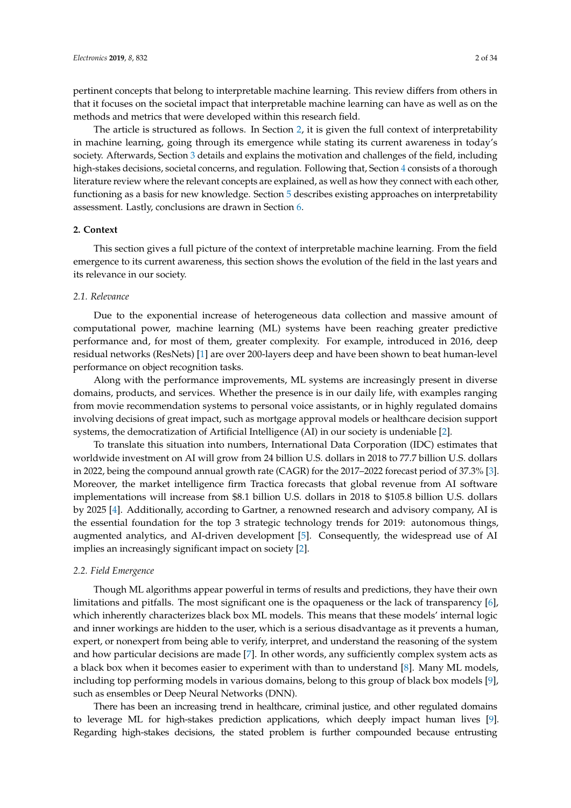pertinent concepts that belong to interpretable machine learning. This review differs from others in that it focuses on the societal impact that interpretable machine learning can have as well as on the methods and metrics that were developed within this research field.

The article is structured as follows. In Section [2,](#page-1-0) it is given the full context of interpretability in machine learning, going through its emergence while stating its current awareness in today's society. Afterwards, Section [3](#page-6-0) details and explains the motivation and challenges of the field, including high-stakes decisions, societal concerns, and regulation. Following that, Section [4](#page-9-0) consists of a thorough literature review where the relevant concepts are explained, as well as how they connect with each other, functioning as a basis for new knowledge. Section [5](#page-22-0) describes existing approaches on interpretability assessment. Lastly, conclusions are drawn in Section [6.](#page-26-0)

# <span id="page-1-0"></span>**2. Context**

This section gives a full picture of the context of interpretable machine learning. From the field emergence to its current awareness, this section shows the evolution of the field in the last years and its relevance in our society.

# *2.1. Relevance*

Due to the exponential increase of heterogeneous data collection and massive amount of computational power, machine learning (ML) systems have been reaching greater predictive performance and, for most of them, greater complexity. For example, introduced in 2016, deep residual networks (ResNets) [\[1\]](#page-26-1) are over 200-layers deep and have been shown to beat human-level performance on object recognition tasks.

Along with the performance improvements, ML systems are increasingly present in diverse domains, products, and services. Whether the presence is in our daily life, with examples ranging from movie recommendation systems to personal voice assistants, or in highly regulated domains involving decisions of great impact, such as mortgage approval models or healthcare decision support systems, the democratization of Artificial Intelligence (AI) in our society is undeniable [\[2\]](#page-26-2).

To translate this situation into numbers, International Data Corporation (IDC) estimates that worldwide investment on AI will grow from 24 billion U.S. dollars in 2018 to 77.7 billion U.S. dollars in 2022, being the compound annual growth rate (CAGR) for the 2017–2022 forecast period of 37.3% [\[3\]](#page-26-3). Moreover, the market intelligence firm Tractica forecasts that global revenue from AI software implementations will increase from \$8.1 billion U.S. dollars in 2018 to \$105.8 billion U.S. dollars by 2025 [\[4\]](#page-26-4). Additionally, according to Gartner, a renowned research and advisory company, AI is the essential foundation for the top 3 strategic technology trends for 2019: autonomous things, augmented analytics, and AI-driven development [\[5\]](#page-26-5). Consequently, the widespread use of AI implies an increasingly significant impact on society [\[2\]](#page-26-2).

# <span id="page-1-1"></span>*2.2. Field Emergence*

Though ML algorithms appear powerful in terms of results and predictions, they have their own limitations and pitfalls. The most significant one is the opaqueness or the lack of transparency [\[6\]](#page-26-6), which inherently characterizes black box ML models. This means that these models' internal logic and inner workings are hidden to the user, which is a serious disadvantage as it prevents a human, expert, or nonexpert from being able to verify, interpret, and understand the reasoning of the system and how particular decisions are made [\[7\]](#page-27-0). In other words, any sufficiently complex system acts as a black box when it becomes easier to experiment with than to understand [\[8\]](#page-27-1). Many ML models, including top performing models in various domains, belong to this group of black box models [\[9\]](#page-27-2), such as ensembles or Deep Neural Networks (DNN).

There has been an increasing trend in healthcare, criminal justice, and other regulated domains to leverage ML for high-stakes prediction applications, which deeply impact human lives [\[9\]](#page-27-2). Regarding high-stakes decisions, the stated problem is further compounded because entrusting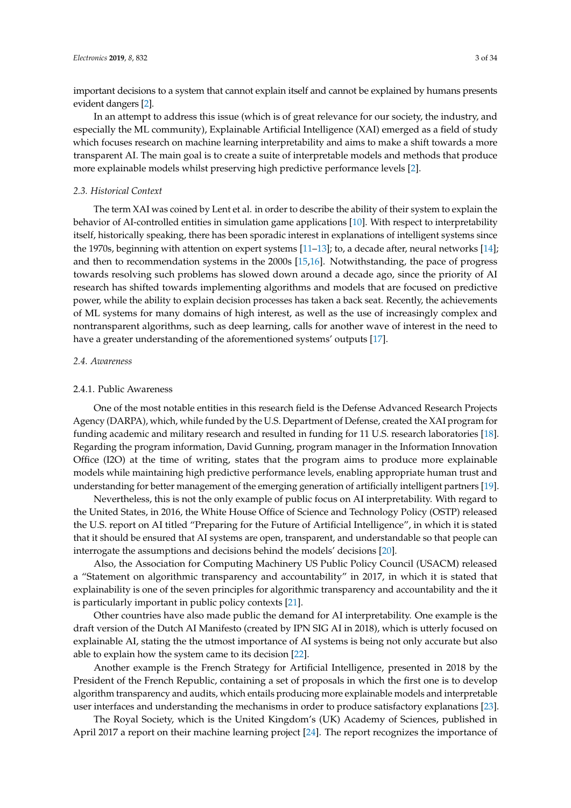important decisions to a system that cannot explain itself and cannot be explained by humans presents evident dangers [\[2\]](#page-26-2).

In an attempt to address this issue (which is of great relevance for our society, the industry, and especially the ML community), Explainable Artificial Intelligence (XAI) emerged as a field of study which focuses research on machine learning interpretability and aims to make a shift towards a more transparent AI. The main goal is to create a suite of interpretable models and methods that produce more explainable models whilst preserving high predictive performance levels [\[2\]](#page-26-2).

## *2.3. Historical Context*

The term XAI was coined by Lent et al. in order to describe the ability of their system to explain the behavior of AI-controlled entities in simulation game applications [\[10\]](#page-27-3). With respect to interpretability itself, historically speaking, there has been sporadic interest in explanations of intelligent systems since the 1970s, beginning with attention on expert systems  $[11-13]$  $[11-13]$ ; to, a decade after, neural networks  $[14]$ ; and then to recommendation systems in the 2000s [\[15](#page-27-7)[,16\]](#page-27-8). Notwithstanding, the pace of progress towards resolving such problems has slowed down around a decade ago, since the priority of AI research has shifted towards implementing algorithms and models that are focused on predictive power, while the ability to explain decision processes has taken a back seat. Recently, the achievements of ML systems for many domains of high interest, as well as the use of increasingly complex and nontransparent algorithms, such as deep learning, calls for another wave of interest in the need to have a greater understanding of the aforementioned systems' outputs [\[17\]](#page-27-9).

# *2.4. Awareness*

#### 2.4.1. Public Awareness

One of the most notable entities in this research field is the Defense Advanced Research Projects Agency (DARPA), which, while funded by the U.S. Department of Defense, created the XAI program for funding academic and military research and resulted in funding for 11 U.S. research laboratories [\[18\]](#page-27-10). Regarding the program information, David Gunning, program manager in the Information Innovation Office (I2O) at the time of writing, states that the program aims to produce more explainable models while maintaining high predictive performance levels, enabling appropriate human trust and understanding for better management of the emerging generation of artificially intelligent partners [\[19\]](#page-27-11).

Nevertheless, this is not the only example of public focus on AI interpretability. With regard to the United States, in 2016, the White House Office of Science and Technology Policy (OSTP) released the U.S. report on AI titled "Preparing for the Future of Artificial Intelligence", in which it is stated that it should be ensured that AI systems are open, transparent, and understandable so that people can interrogate the assumptions and decisions behind the models' decisions [\[20\]](#page-27-12).

Also, the Association for Computing Machinery US Public Policy Council (USACM) released a "Statement on algorithmic transparency and accountability" in 2017, in which it is stated that explainability is one of the seven principles for algorithmic transparency and accountability and the it is particularly important in public policy contexts [\[21\]](#page-27-13).

Other countries have also made public the demand for AI interpretability. One example is the draft version of the Dutch AI Manifesto (created by IPN SIG AI in 2018), which is utterly focused on explainable AI, stating the the utmost importance of AI systems is being not only accurate but also able to explain how the system came to its decision [\[22\]](#page-27-14).

Another example is the French Strategy for Artificial Intelligence, presented in 2018 by the President of the French Republic, containing a set of proposals in which the first one is to develop algorithm transparency and audits, which entails producing more explainable models and interpretable user interfaces and understanding the mechanisms in order to produce satisfactory explanations [\[23\]](#page-27-15).

The Royal Society, which is the United Kingdom's (UK) Academy of Sciences, published in April 2017 a report on their machine learning project [\[24\]](#page-27-16). The report recognizes the importance of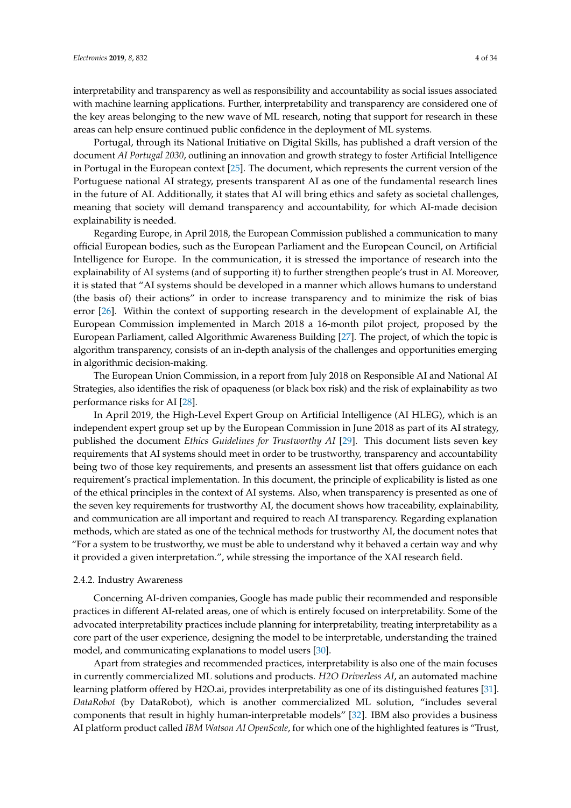interpretability and transparency as well as responsibility and accountability as social issues associated with machine learning applications. Further, interpretability and transparency are considered one of the key areas belonging to the new wave of ML research, noting that support for research in these areas can help ensure continued public confidence in the deployment of ML systems.

Portugal, through its National Initiative on Digital Skills, has published a draft version of the document *AI Portugal 2030*, outlining an innovation and growth strategy to foster Artificial Intelligence in Portugal in the European context [\[25\]](#page-27-17). The document, which represents the current version of the Portuguese national AI strategy, presents transparent AI as one of the fundamental research lines in the future of AI. Additionally, it states that AI will bring ethics and safety as societal challenges, meaning that society will demand transparency and accountability, for which AI-made decision explainability is needed.

Regarding Europe, in April 2018, the European Commission published a communication to many official European bodies, such as the European Parliament and the European Council, on Artificial Intelligence for Europe. In the communication, it is stressed the importance of research into the explainability of AI systems (and of supporting it) to further strengthen people's trust in AI. Moreover, it is stated that "AI systems should be developed in a manner which allows humans to understand (the basis of) their actions" in order to increase transparency and to minimize the risk of bias error [\[26\]](#page-27-18). Within the context of supporting research in the development of explainable AI, the European Commission implemented in March 2018 a 16-month pilot project, proposed by the European Parliament, called Algorithmic Awareness Building [\[27\]](#page-27-19). The project, of which the topic is algorithm transparency, consists of an in-depth analysis of the challenges and opportunities emerging in algorithmic decision-making.

The European Union Commission, in a report from July 2018 on Responsible AI and National AI Strategies, also identifies the risk of opaqueness (or black box risk) and the risk of explainability as two performance risks for AI [\[28\]](#page-27-20).

In April 2019, the High-Level Expert Group on Artificial Intelligence (AI HLEG), which is an independent expert group set up by the European Commission in June 2018 as part of its AI strategy, published the document *Ethics Guidelines for Trustworthy AI* [\[29\]](#page-28-0). This document lists seven key requirements that AI systems should meet in order to be trustworthy, transparency and accountability being two of those key requirements, and presents an assessment list that offers guidance on each requirement's practical implementation. In this document, the principle of explicability is listed as one of the ethical principles in the context of AI systems. Also, when transparency is presented as one of the seven key requirements for trustworthy AI, the document shows how traceability, explainability, and communication are all important and required to reach AI transparency. Regarding explanation methods, which are stated as one of the technical methods for trustworthy AI, the document notes that "For a system to be trustworthy, we must be able to understand why it behaved a certain way and why it provided a given interpretation.", while stressing the importance of the XAI research field.

#### 2.4.2. Industry Awareness

Concerning AI-driven companies, Google has made public their recommended and responsible practices in different AI-related areas, one of which is entirely focused on interpretability. Some of the advocated interpretability practices include planning for interpretability, treating interpretability as a core part of the user experience, designing the model to be interpretable, understanding the trained model, and communicating explanations to model users [\[30\]](#page-28-1).

Apart from strategies and recommended practices, interpretability is also one of the main focuses in currently commercialized ML solutions and products. *H2O Driverless AI*, an automated machine learning platform offered by H2O.ai, provides interpretability as one of its distinguished features [\[31\]](#page-28-2). *DataRobot* (by DataRobot), which is another commercialized ML solution, "includes several components that result in highly human-interpretable models" [\[32\]](#page-28-3). IBM also provides a business AI platform product called *IBM Watson AI OpenScale*, for which one of the highlighted features is "Trust,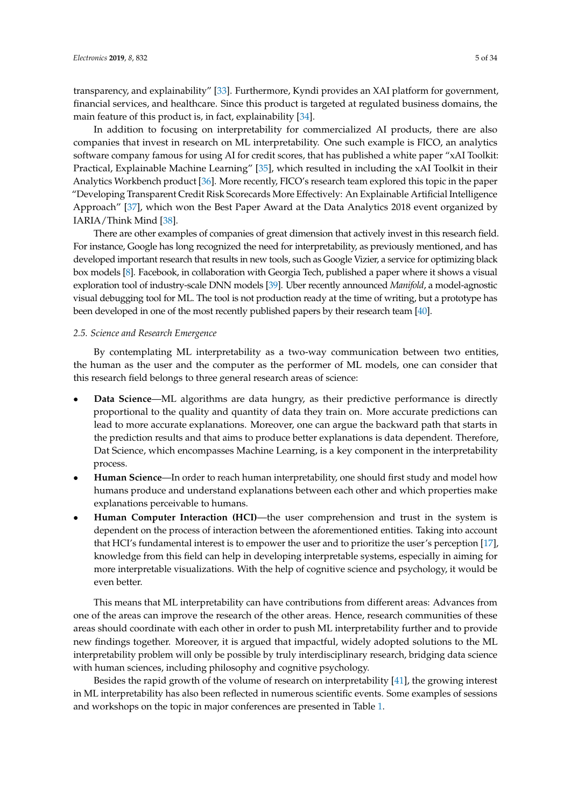transparency, and explainability" [\[33\]](#page-28-4). Furthermore, Kyndi provides an XAI platform for government, financial services, and healthcare. Since this product is targeted at regulated business domains, the main feature of this product is, in fact, explainability [\[34\]](#page-28-5).

In addition to focusing on interpretability for commercialized AI products, there are also companies that invest in research on ML interpretability. One such example is FICO, an analytics software company famous for using AI for credit scores, that has published a white paper "xAI Toolkit: Practical, Explainable Machine Learning" [\[35\]](#page-28-6), which resulted in including the xAI Toolkit in their Analytics Workbench product [\[36\]](#page-28-7). More recently, FICO's research team explored this topic in the paper "Developing Transparent Credit Risk Scorecards More Effectively: An Explainable Artificial Intelligence Approach" [\[37\]](#page-28-8), which won the Best Paper Award at the Data Analytics 2018 event organized by IARIA/Think Mind [\[38\]](#page-28-9).

There are other examples of companies of great dimension that actively invest in this research field. For instance, Google has long recognized the need for interpretability, as previously mentioned, and has developed important research that results in new tools, such as Google Vizier, a service for optimizing black box models [\[8\]](#page-27-1). Facebook, in collaboration with Georgia Tech, published a paper where it shows a visual exploration tool of industry-scale DNN models [\[39\]](#page-28-10). Uber recently announced *Manifold*, a model-agnostic visual debugging tool for ML. The tool is not production ready at the time of writing, but a prototype has been developed in one of the most recently published papers by their research team [\[40\]](#page-28-11).

#### *2.5. Science and Research Emergence*

By contemplating ML interpretability as a two-way communication between two entities, the human as the user and the computer as the performer of ML models, one can consider that this research field belongs to three general research areas of science:

- **Data Science**—ML algorithms are data hungry, as their predictive performance is directly proportional to the quality and quantity of data they train on. More accurate predictions can lead to more accurate explanations. Moreover, one can argue the backward path that starts in the prediction results and that aims to produce better explanations is data dependent. Therefore, Dat Science, which encompasses Machine Learning, is a key component in the interpretability process.
- **Human Science**—In order to reach human interpretability, one should first study and model how humans produce and understand explanations between each other and which properties make explanations perceivable to humans.
- **Human Computer Interaction (HCI)**—the user comprehension and trust in the system is dependent on the process of interaction between the aforementioned entities. Taking into account that HCI's fundamental interest is to empower the user and to prioritize the user's perception [\[17\]](#page-27-9), knowledge from this field can help in developing interpretable systems, especially in aiming for more interpretable visualizations. With the help of cognitive science and psychology, it would be even better.

This means that ML interpretability can have contributions from different areas: Advances from one of the areas can improve the research of the other areas. Hence, research communities of these areas should coordinate with each other in order to push ML interpretability further and to provide new findings together. Moreover, it is argued that impactful, widely adopted solutions to the ML interpretability problem will only be possible by truly interdisciplinary research, bridging data science with human sciences, including philosophy and cognitive psychology.

Besides the rapid growth of the volume of research on interpretability [\[41\]](#page-28-12), the growing interest in ML interpretability has also been reflected in numerous scientific events. Some examples of sessions and workshops on the topic in major conferences are presented in Table [1.](#page-5-0)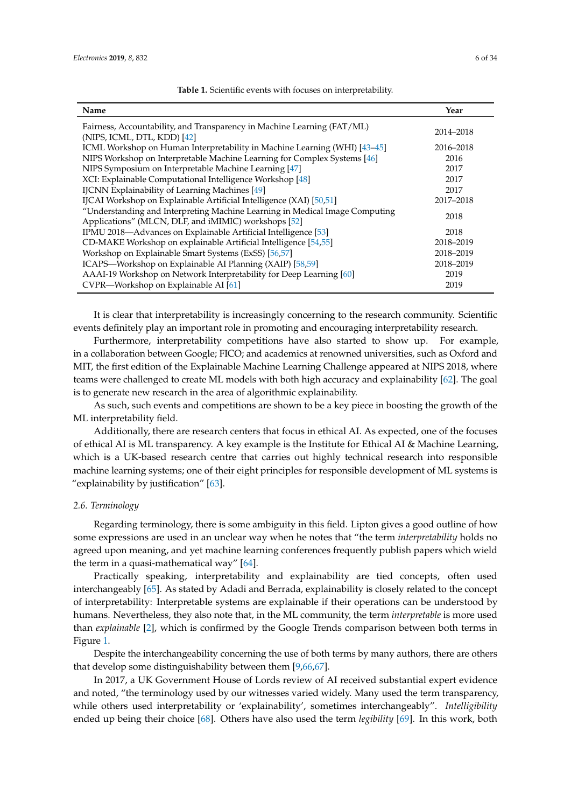<span id="page-5-0"></span>

| Name                                                                                                                                | Year      |
|-------------------------------------------------------------------------------------------------------------------------------------|-----------|
| Fairness, Accountability, and Transparency in Machine Learning (FAT/ML)<br>(NIPS, ICML, DTL, KDD) [42]                              | 2014-2018 |
| ICML Workshop on Human Interpretability in Machine Learning (WHI) [43-45]                                                           | 2016–2018 |
| NIPS Workshop on Interpretable Machine Learning for Complex Systems [46]                                                            | 2016      |
| NIPS Symposium on Interpretable Machine Learning [47]                                                                               | 2017      |
| XCI: Explainable Computational Intelligence Workshop [48]                                                                           | 2017      |
| IJCNN Explainability of Learning Machines [49]                                                                                      | 2017      |
| IJCAI Workshop on Explainable Artificial Intelligence (XAI) [50,51]                                                                 | 2017-2018 |
| "Understanding and Interpreting Machine Learning in Medical Image Computing<br>Applications" (MLCN, DLF, and iMIMIC) workshops [52] | 2018      |
| IPMU 2018-Advances on Explainable Artificial Intelligence [53]                                                                      | 2018      |
| CD-MAKE Workshop on explainable Artificial Intelligence [54,55]                                                                     | 2018-2019 |
| Workshop on Explainable Smart Systems (ExSS) [56,57]                                                                                | 2018-2019 |
| ICAPS-Workshop on Explainable AI Planning (XAIP) [58,59]                                                                            | 2018-2019 |
| AAAI-19 Workshop on Network Interpretability for Deep Learning [60]                                                                 | 2019      |
| CVPR-Workshop on Explainable AI [61]                                                                                                | 2019      |

It is clear that interpretability is increasingly concerning to the research community. Scientific events definitely play an important role in promoting and encouraging interpretability research.

Furthermore, interpretability competitions have also started to show up. For example, in a collaboration between Google; FICO; and academics at renowned universities, such as Oxford and MIT, the first edition of the Explainable Machine Learning Challenge appeared at NIPS 2018, where teams were challenged to create ML models with both high accuracy and explainability [\[62\]](#page-29-10). The goal is to generate new research in the area of algorithmic explainability.

As such, such events and competitions are shown to be a key piece in boosting the growth of the ML interpretability field.

Additionally, there are research centers that focus in ethical AI. As expected, one of the focuses of ethical AI is ML transparency. A key example is the Institute for Ethical AI & Machine Learning, which is a UK-based research centre that carries out highly technical research into responsible machine learning systems; one of their eight principles for responsible development of ML systems is "explainability by justification" [\[63\]](#page-29-11).

#### *2.6. Terminology*

Regarding terminology, there is some ambiguity in this field. Lipton gives a good outline of how some expressions are used in an unclear way when he notes that "the term *interpretability* holds no agreed upon meaning, and yet machine learning conferences frequently publish papers which wield the term in a quasi-mathematical way" [\[64\]](#page-29-12).

Practically speaking, interpretability and explainability are tied concepts, often used interchangeably [\[65\]](#page-29-13). As stated by Adadi and Berrada, explainability is closely related to the concept of interpretability: Interpretable systems are explainable if their operations can be understood by humans. Nevertheless, they also note that, in the ML community, the term *interpretable* is more used than *explainable* [\[2\]](#page-26-2), which is confirmed by the Google Trends comparison between both terms in Figure [1.](#page-6-1)

Despite the interchangeability concerning the use of both terms by many authors, there are others that develop some distinguishability between them [\[9](#page-27-2)[,66,](#page-29-14)[67\]](#page-29-15).

In 2017, a UK Government House of Lords review of AI received substantial expert evidence and noted, "the terminology used by our witnesses varied widely. Many used the term transparency, while others used interpretability or 'explainability', sometimes interchangeably". *Intelligibility* ended up being their choice [\[68\]](#page-29-16). Others have also used the term *legibility* [\[69\]](#page-29-17). In this work, both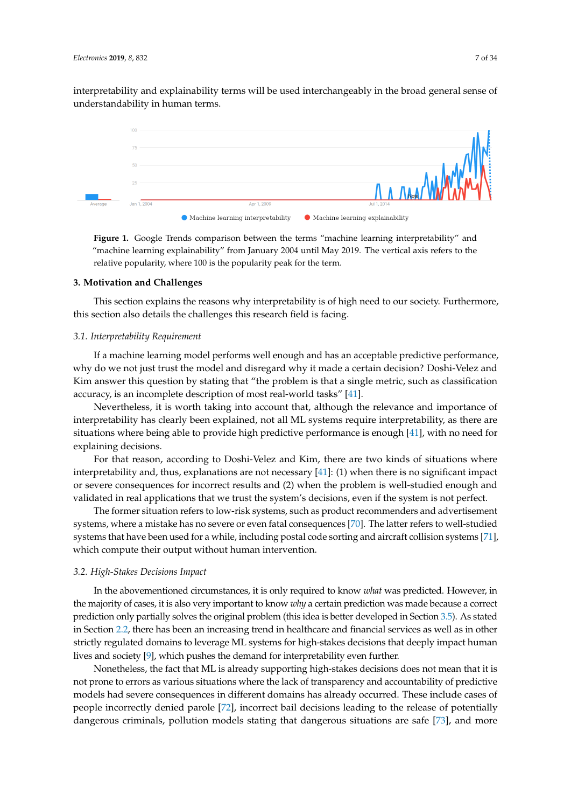interpretability and explainability terms will be used interchangeably in the broad general sense of understandability in human terms.

<span id="page-6-1"></span>

**Figure 1.** Google Trends comparison between the terms "machine learning interpretability" and "machine learning explainability" from January 2004 until May 2019. The vertical axis refers to the relative popularity, where 100 is the popularity peak for the term.

## <span id="page-6-0"></span>**3. Motivation and Challenges**

This section explains the reasons why interpretability is of high need to our society. Furthermore, this section also details the challenges this research field is facing.

# <span id="page-6-3"></span>*3.1. Interpretability Requirement*

If a machine learning model performs well enough and has an acceptable predictive performance, why do we not just trust the model and disregard why it made a certain decision? Doshi-Velez and Kim answer this question by stating that "the problem is that a single metric, such as classification accuracy, is an incomplete description of most real-world tasks" [\[41\]](#page-28-12).

Nevertheless, it is worth taking into account that, although the relevance and importance of interpretability has clearly been explained, not all ML systems require interpretability, as there are situations where being able to provide high predictive performance is enough [\[41\]](#page-28-12), with no need for explaining decisions.

For that reason, according to Doshi-Velez and Kim, there are two kinds of situations where interpretability and, thus, explanations are not necessary [\[41\]](#page-28-12): (1) when there is no significant impact or severe consequences for incorrect results and (2) when the problem is well-studied enough and validated in real applications that we trust the system's decisions, even if the system is not perfect.

The former situation refers to low-risk systems, such as product recommenders and advertisement systems, where a mistake has no severe or even fatal consequences [\[70\]](#page-29-18). The latter refers to well-studied systems that have been used for a while, including postal code sorting and aircraft collision systems [\[71\]](#page-29-19), which compute their output without human intervention.

# <span id="page-6-2"></span>*3.2. High-Stakes Decisions Impact*

In the abovementioned circumstances, it is only required to know *what* was predicted. However, in the majority of cases, it is also very important to know *why* a certain prediction was made because a correct prediction only partially solves the original problem (this idea is better developed in Section [3.5\)](#page-8-0). As stated in Section [2.2,](#page-1-1) there has been an increasing trend in healthcare and financial services as well as in other strictly regulated domains to leverage ML systems for high-stakes decisions that deeply impact human lives and society [\[9\]](#page-27-2), which pushes the demand for interpretability even further.

Nonetheless, the fact that ML is already supporting high-stakes decisions does not mean that it is not prone to errors as various situations where the lack of transparency and accountability of predictive models had severe consequences in different domains has already occurred. These include cases of people incorrectly denied parole [\[72\]](#page-29-20), incorrect bail decisions leading to the release of potentially dangerous criminals, pollution models stating that dangerous situations are safe [\[73\]](#page-30-0), and more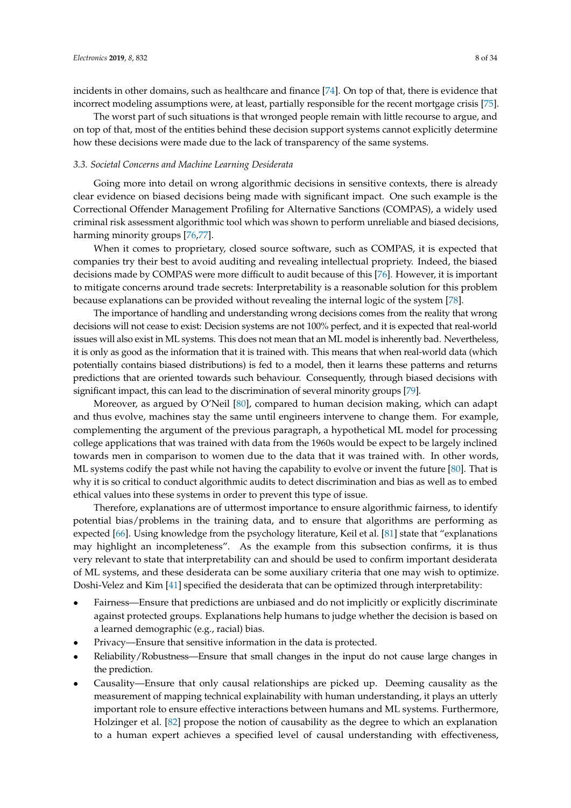incidents in other domains, such as healthcare and finance [\[74\]](#page-30-1). On top of that, there is evidence that incorrect modeling assumptions were, at least, partially responsible for the recent mortgage crisis [\[75\]](#page-30-2).

The worst part of such situations is that wronged people remain with little recourse to argue, and on top of that, most of the entities behind these decision support systems cannot explicitly determine how these decisions were made due to the lack of transparency of the same systems.

#### <span id="page-7-0"></span>*3.3. Societal Concerns and Machine Learning Desiderata*

Going more into detail on wrong algorithmic decisions in sensitive contexts, there is already clear evidence on biased decisions being made with significant impact. One such example is the Correctional Offender Management Profiling for Alternative Sanctions (COMPAS), a widely used criminal risk assessment algorithmic tool which was shown to perform unreliable and biased decisions, harming minority groups [\[76,](#page-30-3)[77\]](#page-30-4).

When it comes to proprietary, closed source software, such as COMPAS, it is expected that companies try their best to avoid auditing and revealing intellectual propriety. Indeed, the biased decisions made by COMPAS were more difficult to audit because of this [\[76\]](#page-30-3). However, it is important to mitigate concerns around trade secrets: Interpretability is a reasonable solution for this problem because explanations can be provided without revealing the internal logic of the system [\[78\]](#page-30-5).

The importance of handling and understanding wrong decisions comes from the reality that wrong decisions will not cease to exist: Decision systems are not 100% perfect, and it is expected that real-world issues will also exist in ML systems. This does not mean that an ML model is inherently bad. Nevertheless, it is only as good as the information that it is trained with. This means that when real-world data (which potentially contains biased distributions) is fed to a model, then it learns these patterns and returns predictions that are oriented towards such behaviour. Consequently, through biased decisions with significant impact, this can lead to the discrimination of several minority groups [\[79\]](#page-30-6).

Moreover, as argued by O'Neil [\[80\]](#page-30-7), compared to human decision making, which can adapt and thus evolve, machines stay the same until engineers intervene to change them. For example, complementing the argument of the previous paragraph, a hypothetical ML model for processing college applications that was trained with data from the 1960s would be expect to be largely inclined towards men in comparison to women due to the data that it was trained with. In other words, ML systems codify the past while not having the capability to evolve or invent the future [\[80\]](#page-30-7). That is why it is so critical to conduct algorithmic audits to detect discrimination and bias as well as to embed ethical values into these systems in order to prevent this type of issue.

Therefore, explanations are of uttermost importance to ensure algorithmic fairness, to identify potential bias/problems in the training data, and to ensure that algorithms are performing as expected [\[66\]](#page-29-14). Using knowledge from the psychology literature, Keil et al. [\[81\]](#page-30-8) state that "explanations may highlight an incompleteness". As the example from this subsection confirms, it is thus very relevant to state that interpretability can and should be used to confirm important desiderata of ML systems, and these desiderata can be some auxiliary criteria that one may wish to optimize. Doshi-Velez and Kim [\[41\]](#page-28-12) specified the desiderata that can be optimized through interpretability:

- Fairness—Ensure that predictions are unbiased and do not implicitly or explicitly discriminate against protected groups. Explanations help humans to judge whether the decision is based on a learned demographic (e.g., racial) bias.
- Privacy—Ensure that sensitive information in the data is protected.
- Reliability/Robustness—Ensure that small changes in the input do not cause large changes in the prediction.
- Causality—Ensure that only causal relationships are picked up. Deeming causality as the measurement of mapping technical explainability with human understanding, it plays an utterly important role to ensure effective interactions between humans and ML systems. Furthermore, Holzinger et al. [\[82\]](#page-30-9) propose the notion of causability as the degree to which an explanation to a human expert achieves a specified level of causal understanding with effectiveness,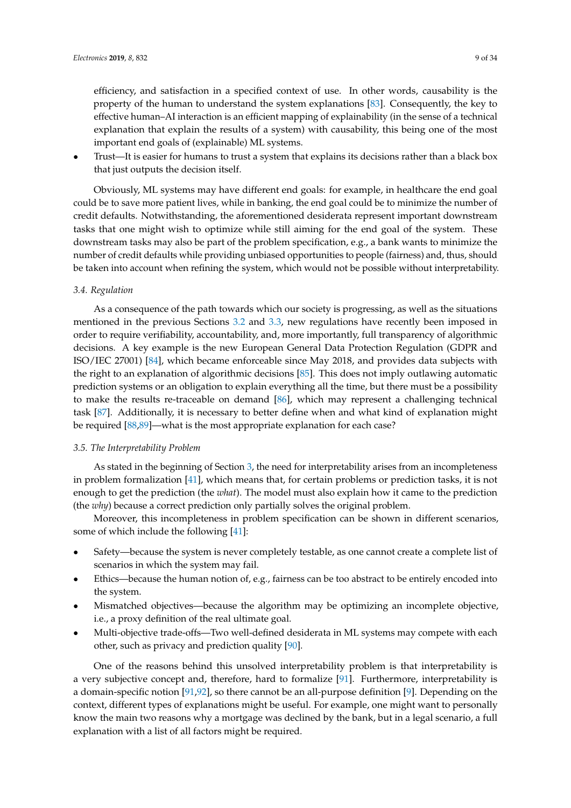efficiency, and satisfaction in a specified context of use. In other words, causability is the property of the human to understand the system explanations [\[83\]](#page-30-10). Consequently, the key to effective human–AI interaction is an efficient mapping of explainability (in the sense of a technical explanation that explain the results of a system) with causability, this being one of the most important end goals of (explainable) ML systems.

• Trust—It is easier for humans to trust a system that explains its decisions rather than a black box that just outputs the decision itself.

Obviously, ML systems may have different end goals: for example, in healthcare the end goal could be to save more patient lives, while in banking, the end goal could be to minimize the number of credit defaults. Notwithstanding, the aforementioned desiderata represent important downstream tasks that one might wish to optimize while still aiming for the end goal of the system. These downstream tasks may also be part of the problem specification, e.g., a bank wants to minimize the number of credit defaults while providing unbiased opportunities to people (fairness) and, thus, should be taken into account when refining the system, which would not be possible without interpretability.

## <span id="page-8-1"></span>*3.4. Regulation*

As a consequence of the path towards which our society is progressing, as well as the situations mentioned in the previous Sections [3.2](#page-6-2) and [3.3,](#page-7-0) new regulations have recently been imposed in order to require verifiability, accountability, and, more importantly, full transparency of algorithmic decisions. A key example is the new European General Data Protection Regulation (GDPR and ISO/IEC 27001) [\[84\]](#page-30-11), which became enforceable since May 2018, and provides data subjects with the right to an explanation of algorithmic decisions [\[85\]](#page-30-12). This does not imply outlawing automatic prediction systems or an obligation to explain everything all the time, but there must be a possibility to make the results re-traceable on demand [\[86\]](#page-30-13), which may represent a challenging technical task [\[87\]](#page-30-14). Additionally, it is necessary to better define when and what kind of explanation might be required [\[88,](#page-30-15)[89\]](#page-30-16)—what is the most appropriate explanation for each case?

## <span id="page-8-0"></span>*3.5. The Interpretability Problem*

As stated in the beginning of Section [3,](#page-6-0) the need for interpretability arises from an incompleteness in problem formalization [\[41\]](#page-28-12), which means that, for certain problems or prediction tasks, it is not enough to get the prediction (the *what*). The model must also explain how it came to the prediction (the *why*) because a correct prediction only partially solves the original problem.

Moreover, this incompleteness in problem specification can be shown in different scenarios, some of which include the following [\[41\]](#page-28-12):

- Safety—because the system is never completely testable, as one cannot create a complete list of scenarios in which the system may fail.
- Ethics—because the human notion of, e.g., fairness can be too abstract to be entirely encoded into the system.
- Mismatched objectives—because the algorithm may be optimizing an incomplete objective, i.e., a proxy definition of the real ultimate goal.
- Multi-objective trade-offs—Two well-defined desiderata in ML systems may compete with each other, such as privacy and prediction quality [\[90\]](#page-30-17).

One of the reasons behind this unsolved interpretability problem is that interpretability is a very subjective concept and, therefore, hard to formalize [\[91\]](#page-30-18). Furthermore, interpretability is a domain-specific notion [\[91](#page-30-18)[,92\]](#page-30-19), so there cannot be an all-purpose definition [\[9\]](#page-27-2). Depending on the context, different types of explanations might be useful. For example, one might want to personally know the main two reasons why a mortgage was declined by the bank, but in a legal scenario, a full explanation with a list of all factors might be required.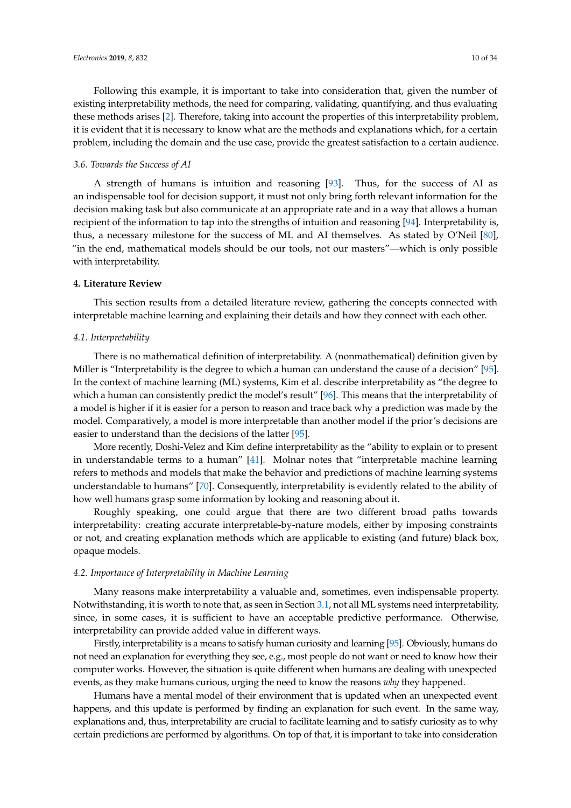Following this example, it is important to take into consideration that, given the number of existing interpretability methods, the need for comparing, validating, quantifying, and thus evaluating these methods arises [\[2\]](#page-26-2). Therefore, taking into account the properties of this interpretability problem, it is evident that it is necessary to know what are the methods and explanations which, for a certain problem, including the domain and the use case, provide the greatest satisfaction to a certain audience.

#### *3.6. Towards the Success of AI*

A strength of humans is intuition and reasoning [\[93\]](#page-30-20). Thus, for the success of AI as an indispensable tool for decision support, it must not only bring forth relevant information for the decision making task but also communicate at an appropriate rate and in a way that allows a human recipient of the information to tap into the strengths of intuition and reasoning [\[94\]](#page-30-21). Interpretability is, thus, a necessary milestone for the success of ML and AI themselves. As stated by O'Neil [\[80\]](#page-30-7), "in the end, mathematical models should be our tools, not our masters"—which is only possible with interpretability.

#### <span id="page-9-0"></span>**4. Literature Review**

This section results from a detailed literature review, gathering the concepts connected with interpretable machine learning and explaining their details and how they connect with each other.

#### <span id="page-9-2"></span>*4.1. Interpretability*

There is no mathematical definition of interpretability. A (nonmathematical) definition given by Miller is "Interpretability is the degree to which a human can understand the cause of a decision" [\[95\]](#page-30-22). In the context of machine learning (ML) systems, Kim et al. describe interpretability as "the degree to which a human can consistently predict the model's result" [\[96\]](#page-30-23). This means that the interpretability of a model is higher if it is easier for a person to reason and trace back why a prediction was made by the model. Comparatively, a model is more interpretable than another model if the prior's decisions are easier to understand than the decisions of the latter [\[95\]](#page-30-22).

More recently, Doshi-Velez and Kim define interpretability as the "ability to explain or to present in understandable terms to a human" [\[41\]](#page-28-12). Molnar notes that "interpretable machine learning refers to methods and models that make the behavior and predictions of machine learning systems understandable to humans" [\[70\]](#page-29-18). Consequently, interpretability is evidently related to the ability of how well humans grasp some information by looking and reasoning about it.

Roughly speaking, one could argue that there are two different broad paths towards interpretability: creating accurate interpretable-by-nature models, either by imposing constraints or not, and creating explanation methods which are applicable to existing (and future) black box, opaque models.

### <span id="page-9-1"></span>*4.2. Importance of Interpretability in Machine Learning*

Many reasons make interpretability a valuable and, sometimes, even indispensable property. Notwithstanding, it is worth to note that, as seen in Section [3.1,](#page-6-3) not all ML systems need interpretability, since, in some cases, it is sufficient to have an acceptable predictive performance. Otherwise, interpretability can provide added value in different ways.

Firstly, interpretability is a means to satisfy human curiosity and learning [\[95\]](#page-30-22). Obviously, humans do not need an explanation for everything they see, e.g., most people do not want or need to know how their computer works. However, the situation is quite different when humans are dealing with unexpected events, as they make humans curious, urging the need to know the reasons *why* they happened.

Humans have a mental model of their environment that is updated when an unexpected event happens, and this update is performed by finding an explanation for such event. In the same way, explanations and, thus, interpretability are crucial to facilitate learning and to satisfy curiosity as to why certain predictions are performed by algorithms. On top of that, it is important to take into consideration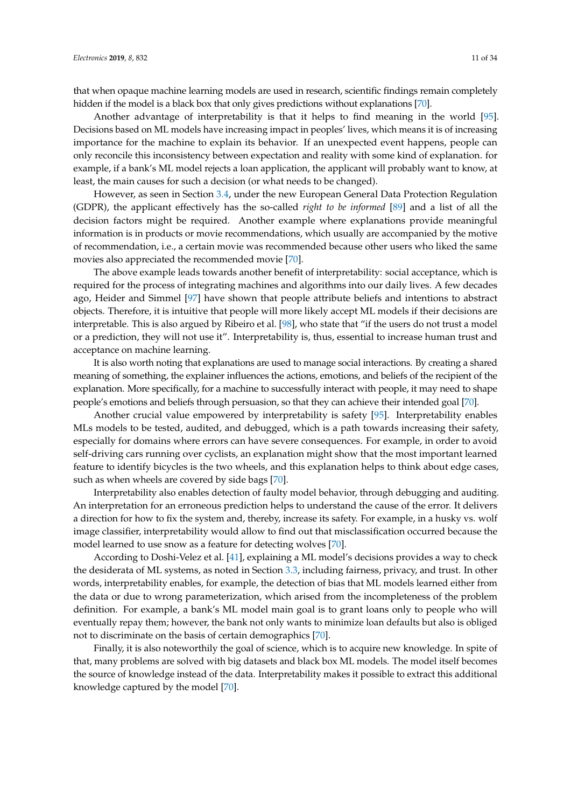that when opaque machine learning models are used in research, scientific findings remain completely hidden if the model is a black box that only gives predictions without explanations [\[70\]](#page-29-18).

Another advantage of interpretability is that it helps to find meaning in the world [\[95\]](#page-30-22). Decisions based on ML models have increasing impact in peoples' lives, which means it is of increasing importance for the machine to explain its behavior. If an unexpected event happens, people can only reconcile this inconsistency between expectation and reality with some kind of explanation. for example, if a bank's ML model rejects a loan application, the applicant will probably want to know, at least, the main causes for such a decision (or what needs to be changed).

However, as seen in Section [3.4,](#page-8-1) under the new European General Data Protection Regulation (GDPR), the applicant effectively has the so-called *right to be informed* [\[89\]](#page-30-16) and a list of all the decision factors might be required. Another example where explanations provide meaningful information is in products or movie recommendations, which usually are accompanied by the motive of recommendation, i.e., a certain movie was recommended because other users who liked the same movies also appreciated the recommended movie [\[70\]](#page-29-18).

The above example leads towards another benefit of interpretability: social acceptance, which is required for the process of integrating machines and algorithms into our daily lives. A few decades ago, Heider and Simmel [\[97\]](#page-30-24) have shown that people attribute beliefs and intentions to abstract objects. Therefore, it is intuitive that people will more likely accept ML models if their decisions are interpretable. This is also argued by Ribeiro et al. [\[98\]](#page-30-25), who state that "if the users do not trust a model or a prediction, they will not use it". Interpretability is, thus, essential to increase human trust and acceptance on machine learning.

It is also worth noting that explanations are used to manage social interactions. By creating a shared meaning of something, the explainer influences the actions, emotions, and beliefs of the recipient of the explanation. More specifically, for a machine to successfully interact with people, it may need to shape people's emotions and beliefs through persuasion, so that they can achieve their intended goal [\[70\]](#page-29-18).

Another crucial value empowered by interpretability is safety [\[95\]](#page-30-22). Interpretability enables MLs models to be tested, audited, and debugged, which is a path towards increasing their safety, especially for domains where errors can have severe consequences. For example, in order to avoid self-driving cars running over cyclists, an explanation might show that the most important learned feature to identify bicycles is the two wheels, and this explanation helps to think about edge cases, such as when wheels are covered by side bags [\[70\]](#page-29-18).

Interpretability also enables detection of faulty model behavior, through debugging and auditing. An interpretation for an erroneous prediction helps to understand the cause of the error. It delivers a direction for how to fix the system and, thereby, increase its safety. For example, in a husky vs. wolf image classifier, interpretability would allow to find out that misclassification occurred because the model learned to use snow as a feature for detecting wolves [\[70\]](#page-29-18).

According to Doshi-Velez et al. [\[41\]](#page-28-12), explaining a ML model's decisions provides a way to check the desiderata of ML systems, as noted in Section [3.3,](#page-7-0) including fairness, privacy, and trust. In other words, interpretability enables, for example, the detection of bias that ML models learned either from the data or due to wrong parameterization, which arised from the incompleteness of the problem definition. For example, a bank's ML model main goal is to grant loans only to people who will eventually repay them; however, the bank not only wants to minimize loan defaults but also is obliged not to discriminate on the basis of certain demographics [\[70\]](#page-29-18).

Finally, it is also noteworthily the goal of science, which is to acquire new knowledge. In spite of that, many problems are solved with big datasets and black box ML models. The model itself becomes the source of knowledge instead of the data. Interpretability makes it possible to extract this additional knowledge captured by the model [\[70\]](#page-29-18).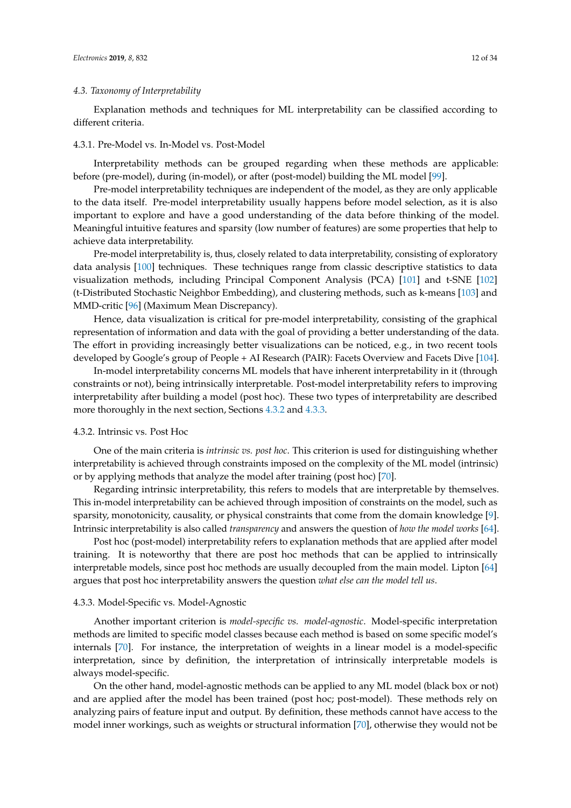# <span id="page-11-3"></span>*4.3. Taxonomy of Interpretability*

Explanation methods and techniques for ML interpretability can be classified according to different criteria.

#### <span id="page-11-2"></span>4.3.1. Pre-Model vs. In-Model vs. Post-Model

Interpretability methods can be grouped regarding when these methods are applicable: before (pre-model), during (in-model), or after (post-model) building the ML model [\[99\]](#page-31-0).

Pre-model interpretability techniques are independent of the model, as they are only applicable to the data itself. Pre-model interpretability usually happens before model selection, as it is also important to explore and have a good understanding of the data before thinking of the model. Meaningful intuitive features and sparsity (low number of features) are some properties that help to achieve data interpretability.

Pre-model interpretability is, thus, closely related to data interpretability, consisting of exploratory data analysis [\[100\]](#page-31-1) techniques. These techniques range from classic descriptive statistics to data visualization methods, including Principal Component Analysis (PCA) [\[101\]](#page-31-2) and t-SNE [\[102\]](#page-31-3) (t-Distributed Stochastic Neighbor Embedding), and clustering methods, such as k-means [\[103\]](#page-31-4) and MMD-critic [\[96\]](#page-30-23) (Maximum Mean Discrepancy).

Hence, data visualization is critical for pre-model interpretability, consisting of the graphical representation of information and data with the goal of providing a better understanding of the data. The effort in providing increasingly better visualizations can be noticed, e.g., in two recent tools developed by Google's group of People + AI Research (PAIR): Facets Overview and Facets Dive [\[104\]](#page-31-5).

In-model interpretability concerns ML models that have inherent interpretability in it (through constraints or not), being intrinsically interpretable. Post-model interpretability refers to improving interpretability after building a model (post hoc). These two types of interpretability are described more thoroughly in the next section, Sections [4.3.2](#page-11-0) and [4.3.3.](#page-11-1)

#### <span id="page-11-0"></span>4.3.2. Intrinsic vs. Post Hoc

One of the main criteria is *intrinsic vs. post hoc*. This criterion is used for distinguishing whether interpretability is achieved through constraints imposed on the complexity of the ML model (intrinsic) or by applying methods that analyze the model after training (post hoc) [\[70\]](#page-29-18).

Regarding intrinsic interpretability, this refers to models that are interpretable by themselves. This in-model interpretability can be achieved through imposition of constraints on the model, such as sparsity, monotonicity, causality, or physical constraints that come from the domain knowledge [\[9\]](#page-27-2). Intrinsic interpretability is also called *transparency* and answers the question of *how the model works* [\[64\]](#page-29-12).

Post hoc (post-model) interpretability refers to explanation methods that are applied after model training. It is noteworthy that there are post hoc methods that can be applied to intrinsically interpretable models, since post hoc methods are usually decoupled from the main model. Lipton [\[64\]](#page-29-12) argues that post hoc interpretability answers the question *what else can the model tell us*.

## <span id="page-11-1"></span>4.3.3. Model-Specific vs. Model-Agnostic

Another important criterion is *model-specific vs. model-agnostic*. Model-specific interpretation methods are limited to specific model classes because each method is based on some specific model's internals [\[70\]](#page-29-18). For instance, the interpretation of weights in a linear model is a model-specific interpretation, since by definition, the interpretation of intrinsically interpretable models is always model-specific.

On the other hand, model-agnostic methods can be applied to any ML model (black box or not) and are applied after the model has been trained (post hoc; post-model). These methods rely on analyzing pairs of feature input and output. By definition, these methods cannot have access to the model inner workings, such as weights or structural information [\[70\]](#page-29-18), otherwise they would not be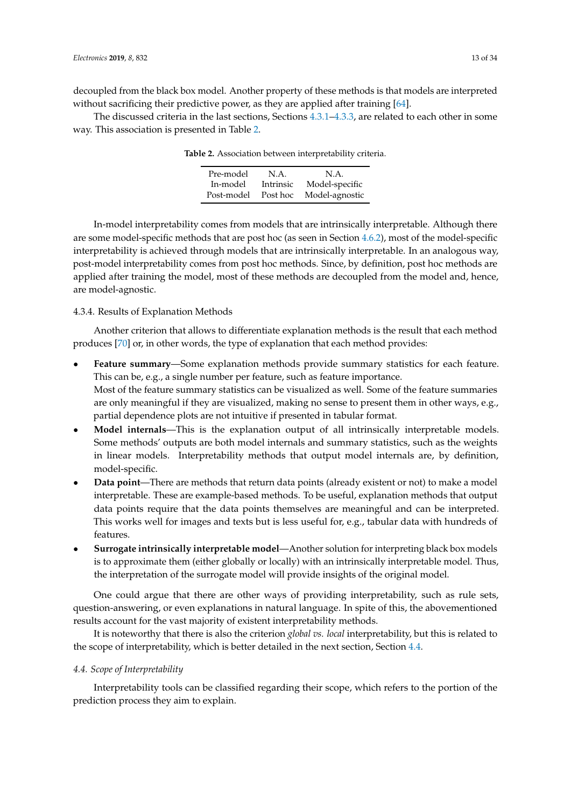decoupled from the black box model. Another property of these methods is that models are interpreted without sacrificing their predictive power, as they are applied after training [\[64\]](#page-29-12).

<span id="page-12-0"></span>The discussed criteria in the last sections, Sections [4.3.1](#page-11-2)[–4.3.3,](#page-11-1) are related to each other in some way. This association is presented in Table [2.](#page-12-0)

| N.A.      | N.A.           |
|-----------|----------------|
| Intrinsic | Model-specific |
| Post hoc  | Model-agnostic |
|           |                |

**Table 2.** Association between interpretability criteria.

In-model interpretability comes from models that are intrinsically interpretable. Although there are some model-specific methods that are post hoc (as seen in Section [4.6.2\)](#page-19-0), most of the model-specific interpretability is achieved through models that are intrinsically interpretable. In an analogous way, post-model interpretability comes from post hoc methods. Since, by definition, post hoc methods are applied after training the model, most of these methods are decoupled from the model and, hence, are model-agnostic.

# <span id="page-12-2"></span>4.3.4. Results of Explanation Methods

Another criterion that allows to differentiate explanation methods is the result that each method produces [\[70\]](#page-29-18) or, in other words, the type of explanation that each method provides:

- **Feature summary**—Some explanation methods provide summary statistics for each feature. This can be, e.g., a single number per feature, such as feature importance. Most of the feature summary statistics can be visualized as well. Some of the feature summaries are only meaningful if they are visualized, making no sense to present them in other ways, e.g., partial dependence plots are not intuitive if presented in tabular format.
- **Model internals**—This is the explanation output of all intrinsically interpretable models. Some methods' outputs are both model internals and summary statistics, such as the weights in linear models. Interpretability methods that output model internals are, by definition, model-specific.
- **Data point**—There are methods that return data points (already existent or not) to make a model interpretable. These are example-based methods. To be useful, explanation methods that output data points require that the data points themselves are meaningful and can be interpreted. This works well for images and texts but is less useful for, e.g., tabular data with hundreds of features.
- **Surrogate intrinsically interpretable model**—Another solution for interpreting black box models is to approximate them (either globally or locally) with an intrinsically interpretable model. Thus, the interpretation of the surrogate model will provide insights of the original model.

One could argue that there are other ways of providing interpretability, such as rule sets, question-answering, or even explanations in natural language. In spite of this, the abovementioned results account for the vast majority of existent interpretability methods.

It is noteworthy that there is also the criterion *global vs. local* interpretability, but this is related to the scope of interpretability, which is better detailed in the next section, Section [4.4.](#page-12-1)

# <span id="page-12-1"></span>*4.4. Scope of Interpretability*

Interpretability tools can be classified regarding their scope, which refers to the portion of the prediction process they aim to explain.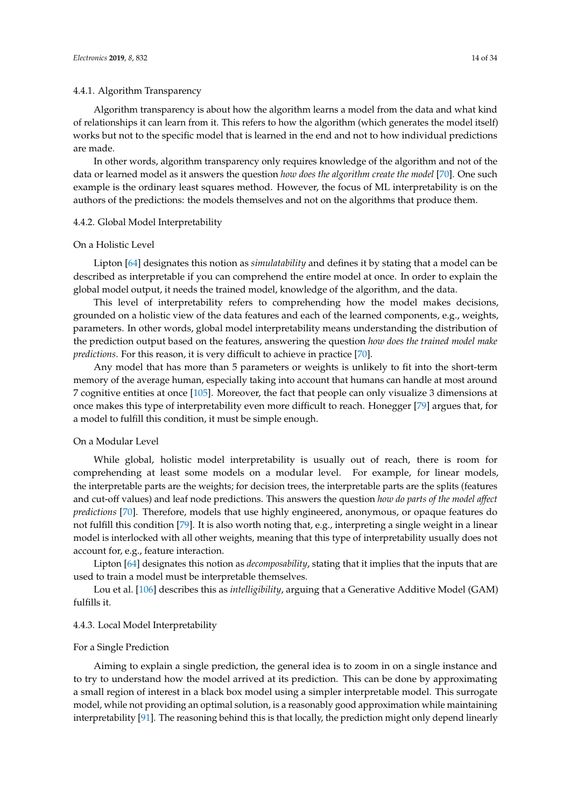# 4.4.1. Algorithm Transparency

Algorithm transparency is about how the algorithm learns a model from the data and what kind of relationships it can learn from it. This refers to how the algorithm (which generates the model itself) works but not to the specific model that is learned in the end and not to how individual predictions are made.

In other words, algorithm transparency only requires knowledge of the algorithm and not of the data or learned model as it answers the question *how does the algorithm create the model* [\[70\]](#page-29-18). One such example is the ordinary least squares method. However, the focus of ML interpretability is on the authors of the predictions: the models themselves and not on the algorithms that produce them.

#### <span id="page-13-0"></span>4.4.2. Global Model Interpretability

#### On a Holistic Level

Lipton [\[64\]](#page-29-12) designates this notion as *simulatability* and defines it by stating that a model can be described as interpretable if you can comprehend the entire model at once. In order to explain the global model output, it needs the trained model, knowledge of the algorithm, and the data.

This level of interpretability refers to comprehending how the model makes decisions, grounded on a holistic view of the data features and each of the learned components, e.g., weights, parameters. In other words, global model interpretability means understanding the distribution of the prediction output based on the features, answering the question *how does the trained model make predictions*. For this reason, it is very difficult to achieve in practice [\[70\]](#page-29-18).

Any model that has more than 5 parameters or weights is unlikely to fit into the short-term memory of the average human, especially taking into account that humans can handle at most around 7 cognitive entities at once [\[105\]](#page-31-6). Moreover, the fact that people can only visualize 3 dimensions at once makes this type of interpretability even more difficult to reach. Honegger [\[79\]](#page-30-6) argues that, for a model to fulfill this condition, it must be simple enough.

# On a Modular Level

While global, holistic model interpretability is usually out of reach, there is room for comprehending at least some models on a modular level. For example, for linear models, the interpretable parts are the weights; for decision trees, the interpretable parts are the splits (features and cut-off values) and leaf node predictions. This answers the question *how do parts of the model affect predictions* [\[70\]](#page-29-18). Therefore, models that use highly engineered, anonymous, or opaque features do not fulfill this condition [\[79\]](#page-30-6). It is also worth noting that, e.g., interpreting a single weight in a linear model is interlocked with all other weights, meaning that this type of interpretability usually does not account for, e.g., feature interaction.

Lipton [\[64\]](#page-29-12) designates this notion as *decomposability*, stating that it implies that the inputs that are used to train a model must be interpretable themselves.

Lou et al. [\[106\]](#page-31-7) describes this as *intelligibility*, arguing that a Generative Additive Model (GAM) fulfills it.

#### 4.4.3. Local Model Interpretability

#### For a Single Prediction

Aiming to explain a single prediction, the general idea is to zoom in on a single instance and to try to understand how the model arrived at its prediction. This can be done by approximating a small region of interest in a black box model using a simpler interpretable model. This surrogate model, while not providing an optimal solution, is a reasonably good approximation while maintaining interpretability [\[91\]](#page-30-18). The reasoning behind this is that locally, the prediction might only depend linearly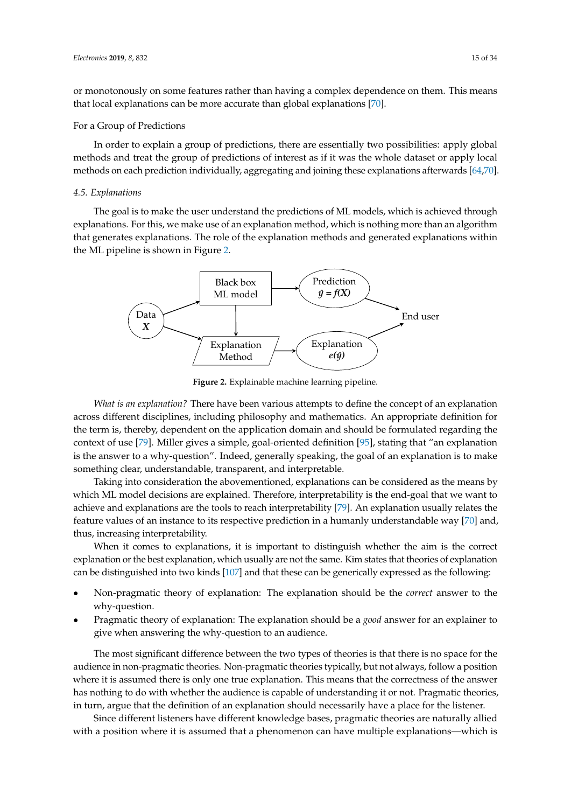or monotonously on some features rather than having a complex dependence on them. This means that local explanations can be more accurate than global explanations [\[70\]](#page-29-18).

#### For a Group of Predictions

In order to explain a group of predictions, there are essentially two possibilities: apply global methods and treat the group of predictions of interest as if it was the whole dataset or apply local methods on each prediction individually, aggregating and joining these explanations afterwards [\[64](#page-29-12)[,70\]](#page-29-18).

## <span id="page-14-1"></span>*4.5. Explanations*

The goal is to make the user understand the predictions of ML models, which is achieved through explanations. For this, we make use of an explanation method, which is nothing more than an algorithm that generates explanations. The role of the explanation methods and generated explanations within the ML pipeline is shown in Figure [2.](#page-14-0)

<span id="page-14-0"></span>

**Figure 2.** Explainable machine learning pipeline.

*What is an explanation?* There have been various attempts to define the concept of an explanation across different disciplines, including philosophy and mathematics. An appropriate definition for the term is, thereby, dependent on the application domain and should be formulated regarding the context of use [\[79\]](#page-30-6). Miller gives a simple, goal-oriented definition [\[95\]](#page-30-22), stating that "an explanation is the answer to a why-question". Indeed, generally speaking, the goal of an explanation is to make something clear, understandable, transparent, and interpretable.

Taking into consideration the abovementioned, explanations can be considered as the means by which ML model decisions are explained. Therefore, interpretability is the end-goal that we want to achieve and explanations are the tools to reach interpretability [\[79\]](#page-30-6). An explanation usually relates the feature values of an instance to its respective prediction in a humanly understandable way [\[70\]](#page-29-18) and, thus, increasing interpretability.

When it comes to explanations, it is important to distinguish whether the aim is the correct explanation or the best explanation, which usually are not the same. Kim states that theories of explanation can be distinguished into two kinds [\[107\]](#page-31-8) and that these can be generically expressed as the following:

- Non-pragmatic theory of explanation: The explanation should be the *correct* answer to the why-question.
- Pragmatic theory of explanation: The explanation should be a *good* answer for an explainer to give when answering the why-question to an audience.

The most significant difference between the two types of theories is that there is no space for the audience in non-pragmatic theories. Non-pragmatic theories typically, but not always, follow a position where it is assumed there is only one true explanation. This means that the correctness of the answer has nothing to do with whether the audience is capable of understanding it or not. Pragmatic theories, in turn, argue that the definition of an explanation should necessarily have a place for the listener.

Since different listeners have different knowledge bases, pragmatic theories are naturally allied with a position where it is assumed that a phenomenon can have multiple explanations—which is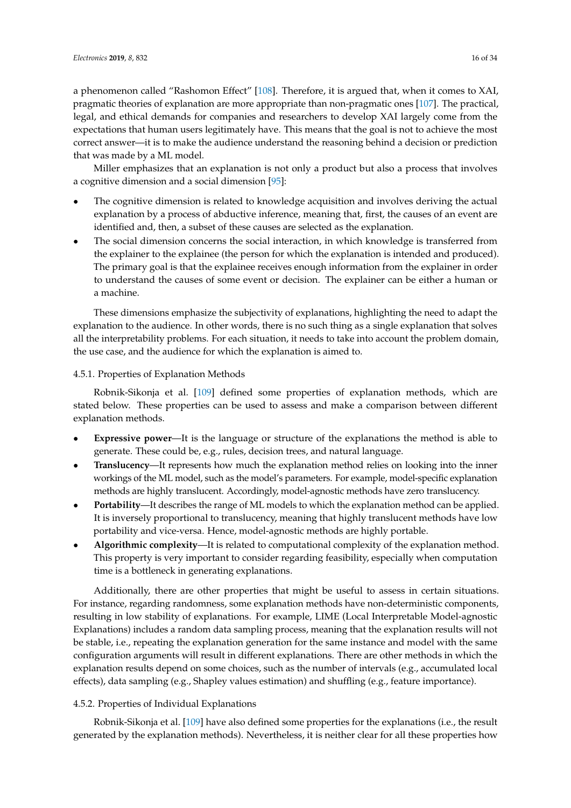a phenomenon called "Rashomon Effect" [\[108\]](#page-31-9). Therefore, it is argued that, when it comes to XAI, pragmatic theories of explanation are more appropriate than non-pragmatic ones [\[107\]](#page-31-8). The practical, legal, and ethical demands for companies and researchers to develop XAI largely come from the expectations that human users legitimately have. This means that the goal is not to achieve the most correct answer—it is to make the audience understand the reasoning behind a decision or prediction that was made by a ML model.

Miller emphasizes that an explanation is not only a product but also a process that involves a cognitive dimension and a social dimension [\[95\]](#page-30-22):

- The cognitive dimension is related to knowledge acquisition and involves deriving the actual explanation by a process of abductive inference, meaning that, first, the causes of an event are identified and, then, a subset of these causes are selected as the explanation.
- The social dimension concerns the social interaction, in which knowledge is transferred from the explainer to the explainee (the person for which the explanation is intended and produced). The primary goal is that the explainee receives enough information from the explainer in order to understand the causes of some event or decision. The explainer can be either a human or a machine.

These dimensions emphasize the subjectivity of explanations, highlighting the need to adapt the explanation to the audience. In other words, there is no such thing as a single explanation that solves all the interpretability problems. For each situation, it needs to take into account the problem domain, the use case, and the audience for which the explanation is aimed to.

# <span id="page-15-0"></span>4.5.1. Properties of Explanation Methods

Robnik-Sikonja et al. [\[109\]](#page-31-10) defined some properties of explanation methods, which are stated below. These properties can be used to assess and make a comparison between different explanation methods.

- **Expressive power—It** is the language or structure of the explanations the method is able to generate. These could be, e.g., rules, decision trees, and natural language.
- **Translucency**—It represents how much the explanation method relies on looking into the inner workings of the ML model, such as the model's parameters. For example, model-specific explanation methods are highly translucent. Accordingly, model-agnostic methods have zero translucency.
- **Portability**—It describes the range of ML models to which the explanation method can be applied. It is inversely proportional to translucency, meaning that highly translucent methods have low portability and vice-versa. Hence, model-agnostic methods are highly portable.
- **Algorithmic complexity**—It is related to computational complexity of the explanation method. This property is very important to consider regarding feasibility, especially when computation time is a bottleneck in generating explanations.

Additionally, there are other properties that might be useful to assess in certain situations. For instance, regarding randomness, some explanation methods have non-deterministic components, resulting in low stability of explanations. For example, LIME (Local Interpretable Model-agnostic Explanations) includes a random data sampling process, meaning that the explanation results will not be stable, i.e., repeating the explanation generation for the same instance and model with the same configuration arguments will result in different explanations. There are other methods in which the explanation results depend on some choices, such as the number of intervals (e.g., accumulated local effects), data sampling (e.g., Shapley values estimation) and shuffling (e.g., feature importance).

# <span id="page-15-1"></span>4.5.2. Properties of Individual Explanations

Robnik-Sikonja et al. [\[109\]](#page-31-10) have also defined some properties for the explanations (i.e., the result generated by the explanation methods). Nevertheless, it is neither clear for all these properties how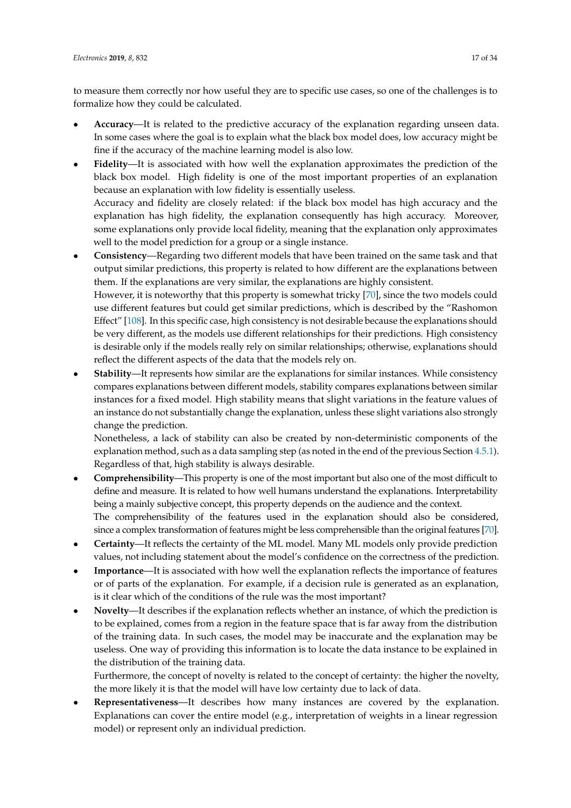to measure them correctly nor how useful they are to specific use cases, so one of the challenges is to formalize how they could be calculated.

- **Accuracy**—It is related to the predictive accuracy of the explanation regarding unseen data. In some cases where the goal is to explain what the black box model does, low accuracy might be fine if the accuracy of the machine learning model is also low.
- **Fidelity**—It is associated with how well the explanation approximates the prediction of the black box model. High fidelity is one of the most important properties of an explanation because an explanation with low fidelity is essentially useless. Accuracy and fidelity are closely related: if the black box model has high accuracy and the explanation has high fidelity, the explanation consequently has high accuracy. Moreover, some explanations only provide local fidelity, meaning that the explanation only approximates well to the model prediction for a group or a single instance.
- **Consistency**—Regarding two different models that have been trained on the same task and that output similar predictions, this property is related to how different are the explanations between them. If the explanations are very similar, the explanations are highly consistent. However, it is noteworthy that this property is somewhat tricky [\[70\]](#page-29-18), since the two models could use different features but could get similar predictions, which is described by the "Rashomon Effect" [\[108\]](#page-31-9). In this specific case, high consistency is not desirable because the explanations should be very different, as the models use different relationships for their predictions. High consistency
	- is desirable only if the models really rely on similar relationships; otherwise, explanations should reflect the different aspects of the data that the models rely on.
- **Stability**—It represents how similar are the explanations for similar instances. While consistency compares explanations between different models, stability compares explanations between similar instances for a fixed model. High stability means that slight variations in the feature values of an instance do not substantially change the explanation, unless these slight variations also strongly change the prediction.

Nonetheless, a lack of stability can also be created by non-deterministic components of the explanation method, such as a data sampling step (as noted in the end of the previous Section [4.5.1\)](#page-15-0). Regardless of that, high stability is always desirable.

- **Comprehensibility**—This property is one of the most important but also one of the most difficult to define and measure. It is related to how well humans understand the explanations. Interpretability being a mainly subjective concept, this property depends on the audience and the context. The comprehensibility of the features used in the explanation should also be considered, since a complex transformation of features might be less comprehensible than the original features [\[70\]](#page-29-18).
- **Certainty**—It reflects the certainty of the ML model. Many ML models only provide prediction values, not including statement about the model's confidence on the correctness of the prediction.
- **Importance**—It is associated with how well the explanation reflects the importance of features or of parts of the explanation. For example, if a decision rule is generated as an explanation, is it clear which of the conditions of the rule was the most important?
- **Novelty**—It describes if the explanation reflects whether an instance, of which the prediction is to be explained, comes from a region in the feature space that is far away from the distribution of the training data. In such cases, the model may be inaccurate and the explanation may be useless. One way of providing this information is to locate the data instance to be explained in the distribution of the training data.

Furthermore, the concept of novelty is related to the concept of certainty: the higher the novelty, the more likely it is that the model will have low certainty due to lack of data.

• **Representativeness**—It describes how many instances are covered by the explanation. Explanations can cover the entire model (e.g., interpretation of weights in a linear regression model) or represent only an individual prediction.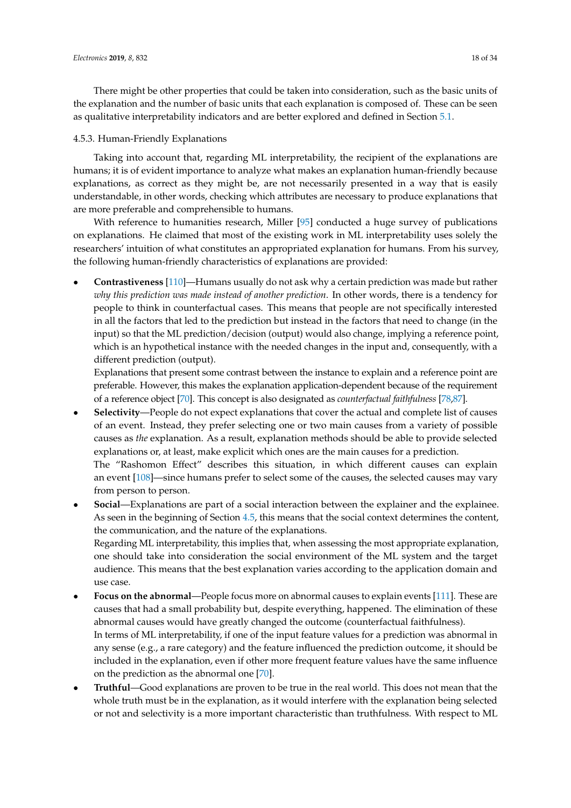There might be other properties that could be taken into consideration, such as the basic units of the explanation and the number of basic units that each explanation is composed of. These can be seen as qualitative interpretability indicators and are better explored and defined in Section [5.1.](#page-23-0)

# <span id="page-17-0"></span>4.5.3. Human-Friendly Explanations

Taking into account that, regarding ML interpretability, the recipient of the explanations are humans; it is of evident importance to analyze what makes an explanation human-friendly because explanations, as correct as they might be, are not necessarily presented in a way that is easily understandable, in other words, checking which attributes are necessary to produce explanations that are more preferable and comprehensible to humans.

With reference to humanities research, Miller [\[95\]](#page-30-22) conducted a huge survey of publications on explanations. He claimed that most of the existing work in ML interpretability uses solely the researchers' intuition of what constitutes an appropriated explanation for humans. From his survey, the following human-friendly characteristics of explanations are provided:

• **Contrastiveness** [\[110\]](#page-31-11)—Humans usually do not ask why a certain prediction was made but rather *why this prediction was made instead of another prediction*. In other words, there is a tendency for people to think in counterfactual cases. This means that people are not specifically interested in all the factors that led to the prediction but instead in the factors that need to change (in the input) so that the ML prediction/decision (output) would also change, implying a reference point, which is an hypothetical instance with the needed changes in the input and, consequently, with a different prediction (output).

Explanations that present some contrast between the instance to explain and a reference point are preferable. However, this makes the explanation application-dependent because of the requirement of a reference object [\[70\]](#page-29-18). This concept is also designated as *counterfactual faithfulness* [\[78,](#page-30-5)[87\]](#page-30-14).

• **Selectivity**—People do not expect explanations that cover the actual and complete list of causes of an event. Instead, they prefer selecting one or two main causes from a variety of possible causes as *the* explanation. As a result, explanation methods should be able to provide selected explanations or, at least, make explicit which ones are the main causes for a prediction. The "Rashomon Effect" describes this situation, in which different causes can explain an event [\[108\]](#page-31-9)—since humans prefer to select some of the causes, the selected causes may vary

from person to person.

• **Social**—Explanations are part of a social interaction between the explainer and the explainee. As seen in the beginning of Section [4.5,](#page-14-1) this means that the social context determines the content, the communication, and the nature of the explanations.

Regarding ML interpretability, this implies that, when assessing the most appropriate explanation, one should take into consideration the social environment of the ML system and the target audience. This means that the best explanation varies according to the application domain and use case.

- **Focus on the abnormal**—People focus more on abnormal causes to explain events [\[111\]](#page-31-12). These are causes that had a small probability but, despite everything, happened. The elimination of these abnormal causes would have greatly changed the outcome (counterfactual faithfulness). In terms of ML interpretability, if one of the input feature values for a prediction was abnormal in any sense (e.g., a rare category) and the feature influenced the prediction outcome, it should be included in the explanation, even if other more frequent feature values have the same influence on the prediction as the abnormal one [\[70\]](#page-29-18).
- **Truthful**—Good explanations are proven to be true in the real world. This does not mean that the whole truth must be in the explanation, as it would interfere with the explanation being selected or not and selectivity is a more important characteristic than truthfulness. With respect to ML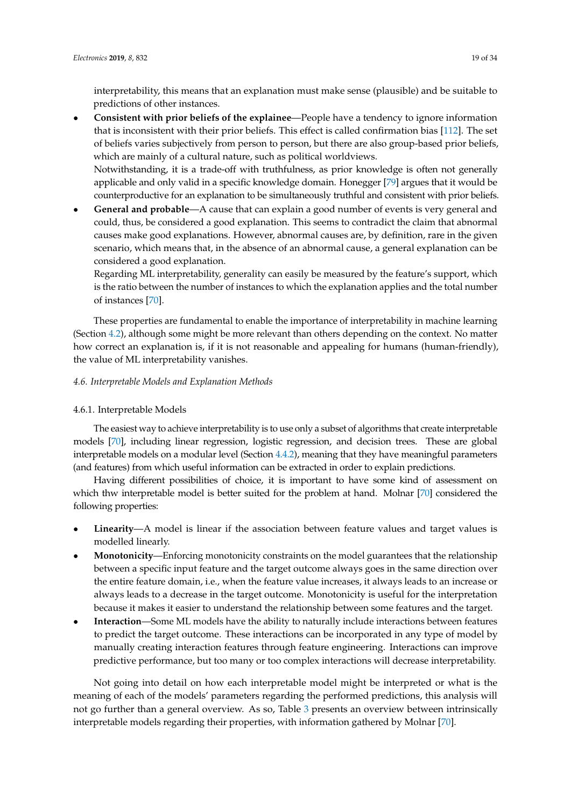interpretability, this means that an explanation must make sense (plausible) and be suitable to predictions of other instances.

• **Consistent with prior beliefs of the explainee**—People have a tendency to ignore information that is inconsistent with their prior beliefs. This effect is called confirmation bias [\[112\]](#page-31-13). The set of beliefs varies subjectively from person to person, but there are also group-based prior beliefs, which are mainly of a cultural nature, such as political worldviews.

Notwithstanding, it is a trade-off with truthfulness, as prior knowledge is often not generally applicable and only valid in a specific knowledge domain. Honegger [\[79\]](#page-30-6) argues that it would be counterproductive for an explanation to be simultaneously truthful and consistent with prior beliefs.

• **General and probable**—A cause that can explain a good number of events is very general and could, thus, be considered a good explanation. This seems to contradict the claim that abnormal causes make good explanations. However, abnormal causes are, by definition, rare in the given scenario, which means that, in the absence of an abnormal cause, a general explanation can be considered a good explanation.

Regarding ML interpretability, generality can easily be measured by the feature's support, which is the ratio between the number of instances to which the explanation applies and the total number of instances [\[70\]](#page-29-18).

These properties are fundamental to enable the importance of interpretability in machine learning (Section [4.2\)](#page-9-1), although some might be more relevant than others depending on the context. No matter how correct an explanation is, if it is not reasonable and appealing for humans (human-friendly), the value of ML interpretability vanishes.

# *4.6. Interpretable Models and Explanation Methods*

# 4.6.1. Interpretable Models

The easiest way to achieve interpretability is to use only a subset of algorithms that create interpretable models [\[70\]](#page-29-18), including linear regression, logistic regression, and decision trees. These are global interpretable models on a modular level (Section [4.4.2\)](#page-13-0), meaning that they have meaningful parameters (and features) from which useful information can be extracted in order to explain predictions.

Having different possibilities of choice, it is important to have some kind of assessment on which thw interpretable model is better suited for the problem at hand. Molnar [\[70\]](#page-29-18) considered the following properties:

- **Linearity**—A model is linear if the association between feature values and target values is modelled linearly.
- **Monotonicity**—Enforcing monotonicity constraints on the model guarantees that the relationship between a specific input feature and the target outcome always goes in the same direction over the entire feature domain, i.e., when the feature value increases, it always leads to an increase or always leads to a decrease in the target outcome. Monotonicity is useful for the interpretation because it makes it easier to understand the relationship between some features and the target.
- **Interaction**—Some ML models have the ability to naturally include interactions between features to predict the target outcome. These interactions can be incorporated in any type of model by manually creating interaction features through feature engineering. Interactions can improve predictive performance, but too many or too complex interactions will decrease interpretability.

Not going into detail on how each interpretable model might be interpreted or what is the meaning of each of the models' parameters regarding the performed predictions, this analysis will not go further than a general overview. As so, Table [3](#page-19-1) presents an overview between intrinsically interpretable models regarding their properties, with information gathered by Molnar [\[70\]](#page-29-18).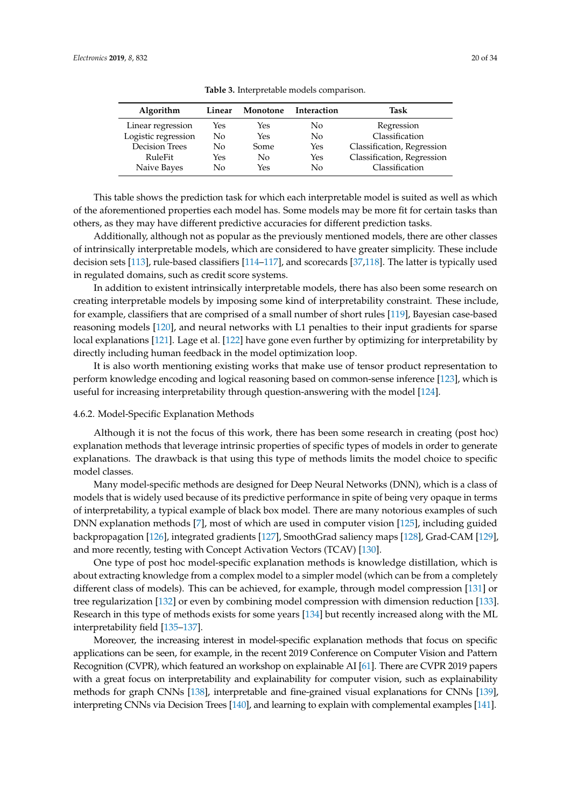<span id="page-19-1"></span>

| Algorithm             | Linear | Monotone | Interaction | Task                       |
|-----------------------|--------|----------|-------------|----------------------------|
| Linear regression     | Yes    | Yes      | Nο          | Regression                 |
| Logistic regression   | No     | Yes      | No          | Classification             |
| <b>Decision Trees</b> | Nο     | Some     | Yes         | Classification, Regression |
| RuleFit               | Yes    | No       | Yes         | Classification, Regression |
| Naive Bayes           | Nο     | Yes      | Nο          | Classification             |

**Table 3.** Interpretable models comparison.

This table shows the prediction task for which each interpretable model is suited as well as which of the aforementioned properties each model has. Some models may be more fit for certain tasks than others, as they may have different predictive accuracies for different prediction tasks.

Additionally, although not as popular as the previously mentioned models, there are other classes of intrinsically interpretable models, which are considered to have greater simplicity. These include decision sets [\[113\]](#page-31-14), rule-based classifiers [\[114](#page-31-15)[–117\]](#page-31-16), and scorecards [\[37](#page-28-8)[,118\]](#page-31-17). The latter is typically used in regulated domains, such as credit score systems.

In addition to existent intrinsically interpretable models, there has also been some research on creating interpretable models by imposing some kind of interpretability constraint. These include, for example, classifiers that are comprised of a small number of short rules [\[119\]](#page-31-18), Bayesian case-based reasoning models [\[120\]](#page-31-19), and neural networks with L1 penalties to their input gradients for sparse local explanations [\[121\]](#page-31-20). Lage et al. [\[122\]](#page-31-21) have gone even further by optimizing for interpretability by directly including human feedback in the model optimization loop.

It is also worth mentioning existing works that make use of tensor product representation to perform knowledge encoding and logical reasoning based on common-sense inference [\[123\]](#page-31-22), which is useful for increasing interpretability through question-answering with the model [\[124\]](#page-32-0).

## <span id="page-19-0"></span>4.6.2. Model-Specific Explanation Methods

Although it is not the focus of this work, there has been some research in creating (post hoc) explanation methods that leverage intrinsic properties of specific types of models in order to generate explanations. The drawback is that using this type of methods limits the model choice to specific model classes.

Many model-specific methods are designed for Deep Neural Networks (DNN), which is a class of models that is widely used because of its predictive performance in spite of being very opaque in terms of interpretability, a typical example of black box model. There are many notorious examples of such DNN explanation methods [\[7\]](#page-27-0), most of which are used in computer vision [\[125\]](#page-32-1), including guided backpropagation [\[126\]](#page-32-2), integrated gradients [\[127\]](#page-32-3), SmoothGrad saliency maps [\[128\]](#page-32-4), Grad-CAM [\[129\]](#page-32-5), and more recently, testing with Concept Activation Vectors (TCAV) [\[130\]](#page-32-6).

One type of post hoc model-specific explanation methods is knowledge distillation, which is about extracting knowledge from a complex model to a simpler model (which can be from a completely different class of models). This can be achieved, for example, through model compression [\[131\]](#page-32-7) or tree regularization [\[132\]](#page-32-8) or even by combining model compression with dimension reduction [\[133\]](#page-32-9). Research in this type of methods exists for some years [\[134\]](#page-32-10) but recently increased along with the ML interpretability field [\[135–](#page-32-11)[137\]](#page-32-12).

Moreover, the increasing interest in model-specific explanation methods that focus on specific applications can be seen, for example, in the recent 2019 Conference on Computer Vision and Pattern Recognition (CVPR), which featured an workshop on explainable AI [\[61\]](#page-29-9). There are CVPR 2019 papers with a great focus on interpretability and explainability for computer vision, such as explainability methods for graph CNNs [\[138\]](#page-32-13), interpretable and fine-grained visual explanations for CNNs [\[139\]](#page-32-14), interpreting CNNs via Decision Trees [\[140\]](#page-32-15), and learning to explain with complemental examples [\[141\]](#page-32-16).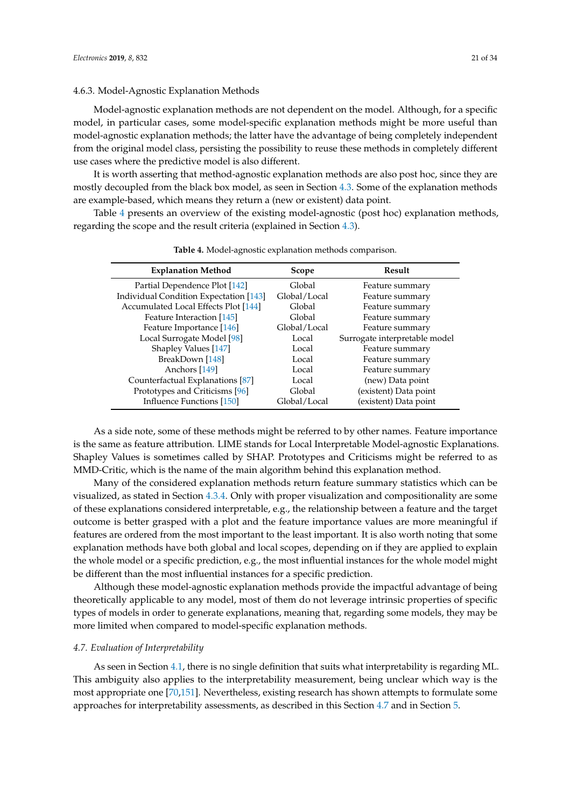# 4.6.3. Model-Agnostic Explanation Methods

Model-agnostic explanation methods are not dependent on the model. Although, for a specific model, in particular cases, some model-specific explanation methods might be more useful than model-agnostic explanation methods; the latter have the advantage of being completely independent from the original model class, persisting the possibility to reuse these methods in completely different use cases where the predictive model is also different.

It is worth asserting that method-agnostic explanation methods are also post hoc, since they are mostly decoupled from the black box model, as seen in Section [4.3.](#page-11-3) Some of the explanation methods are example-based, which means they return a (new or existent) data point.

<span id="page-20-0"></span>Table [4](#page-20-0) presents an overview of the existing model-agnostic (post hoc) explanation methods, regarding the scope and the result criteria (explained in Section [4.3\)](#page-11-3).

| <b>Explanation Method</b>              | Scope        | Result                        |
|----------------------------------------|--------------|-------------------------------|
| Partial Dependence Plot [142]          | Global       | Feature summary               |
| Individual Condition Expectation [143] | Global/Local | Feature summary               |
| Accumulated Local Effects Plot [144]   | Global       | Feature summary               |
| Feature Interaction [145]              | Global       | Feature summary               |
| Feature Importance [146]               | Global/Local | Feature summary               |
| Local Surrogate Model [98]             | Local        | Surrogate interpretable model |
| Shapley Values [147]                   | Local        | Feature summary               |
| BreakDown [148]                        | Local        | Feature summary               |
| Anchors [149]                          | Local        | Feature summary               |
| Counterfactual Explanations [87]       | Local        | (new) Data point              |
| Prototypes and Criticisms [96]         | Global       | (existent) Data point         |
| Influence Functions [150]              | Global/Local | (existent) Data point         |

**Table 4.** Model-agnostic explanation methods comparison.

As a side note, some of these methods might be referred to by other names. Feature importance is the same as feature attribution. LIME stands for Local Interpretable Model-agnostic Explanations. Shapley Values is sometimes called by SHAP. Prototypes and Criticisms might be referred to as MMD-Critic, which is the name of the main algorithm behind this explanation method.

Many of the considered explanation methods return feature summary statistics which can be visualized, as stated in Section [4.3.4.](#page-12-2) Only with proper visualization and compositionality are some of these explanations considered interpretable, e.g., the relationship between a feature and the target outcome is better grasped with a plot and the feature importance values are more meaningful if features are ordered from the most important to the least important. It is also worth noting that some explanation methods have both global and local scopes, depending on if they are applied to explain the whole model or a specific prediction, e.g., the most influential instances for the whole model might be different than the most influential instances for a specific prediction.

Although these model-agnostic explanation methods provide the impactful advantage of being theoretically applicable to any model, most of them do not leverage intrinsic properties of specific types of models in order to generate explanations, meaning that, regarding some models, they may be more limited when compared to model-specific explanation methods.

#### <span id="page-20-1"></span>*4.7. Evaluation of Interpretability*

As seen in Section [4.1,](#page-9-2) there is no single definition that suits what interpretability is regarding ML. This ambiguity also applies to the interpretability measurement, being unclear which way is the most appropriate one [\[70,](#page-29-18)[151\]](#page-33-2). Nevertheless, existing research has shown attempts to formulate some approaches for interpretability assessments, as described in this Section [4.7](#page-20-1) and in Section [5.](#page-22-0)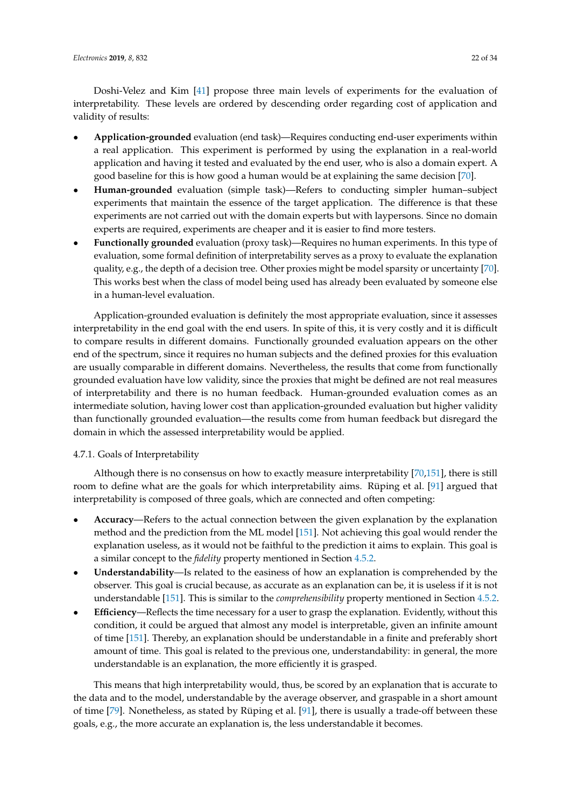Doshi-Velez and Kim [\[41\]](#page-28-12) propose three main levels of experiments for the evaluation of interpretability. These levels are ordered by descending order regarding cost of application and validity of results:

- **Application-grounded** evaluation (end task)—Requires conducting end-user experiments within a real application. This experiment is performed by using the explanation in a real-world application and having it tested and evaluated by the end user, who is also a domain expert. A good baseline for this is how good a human would be at explaining the same decision [\[70\]](#page-29-18).
- **Human-grounded** evaluation (simple task)—Refers to conducting simpler human–subject experiments that maintain the essence of the target application. The difference is that these experiments are not carried out with the domain experts but with laypersons. Since no domain experts are required, experiments are cheaper and it is easier to find more testers.
- **Functionally grounded** evaluation (proxy task)—Requires no human experiments. In this type of evaluation, some formal definition of interpretability serves as a proxy to evaluate the explanation quality, e.g., the depth of a decision tree. Other proxies might be model sparsity or uncertainty [\[70\]](#page-29-18). This works best when the class of model being used has already been evaluated by someone else in a human-level evaluation.

Application-grounded evaluation is definitely the most appropriate evaluation, since it assesses interpretability in the end goal with the end users. In spite of this, it is very costly and it is difficult to compare results in different domains. Functionally grounded evaluation appears on the other end of the spectrum, since it requires no human subjects and the defined proxies for this evaluation are usually comparable in different domains. Nevertheless, the results that come from functionally grounded evaluation have low validity, since the proxies that might be defined are not real measures of interpretability and there is no human feedback. Human-grounded evaluation comes as an intermediate solution, having lower cost than application-grounded evaluation but higher validity than functionally grounded evaluation—the results come from human feedback but disregard the domain in which the assessed interpretability would be applied.

# <span id="page-21-0"></span>4.7.1. Goals of Interpretability

Although there is no consensus on how to exactly measure interpretability [\[70,](#page-29-18)[151\]](#page-33-2), there is still room to define what are the goals for which interpretability aims. Rüping et al. [\[91\]](#page-30-18) argued that interpretability is composed of three goals, which are connected and often competing:

- **Accuracy**—Refers to the actual connection between the given explanation by the explanation method and the prediction from the ML model [\[151\]](#page-33-2). Not achieving this goal would render the explanation useless, as it would not be faithful to the prediction it aims to explain. This goal is a similar concept to the *fidelity* property mentioned in Section [4.5.2.](#page-15-1)
- **Understandability**—Is related to the easiness of how an explanation is comprehended by the observer. This goal is crucial because, as accurate as an explanation can be, it is useless if it is not understandable [\[151\]](#page-33-2). This is similar to the *comprehensibility* property mentioned in Section [4.5.2.](#page-15-1)
- **Efficiency**—Reflects the time necessary for a user to grasp the explanation. Evidently, without this condition, it could be argued that almost any model is interpretable, given an infinite amount of time [\[151\]](#page-33-2). Thereby, an explanation should be understandable in a finite and preferably short amount of time. This goal is related to the previous one, understandability: in general, the more understandable is an explanation, the more efficiently it is grasped.

This means that high interpretability would, thus, be scored by an explanation that is accurate to the data and to the model, understandable by the average observer, and graspable in a short amount of time [\[79\]](#page-30-6). Nonetheless, as stated by Rüping et al. [\[91\]](#page-30-18), there is usually a trade-off between these goals, e.g., the more accurate an explanation is, the less understandable it becomes.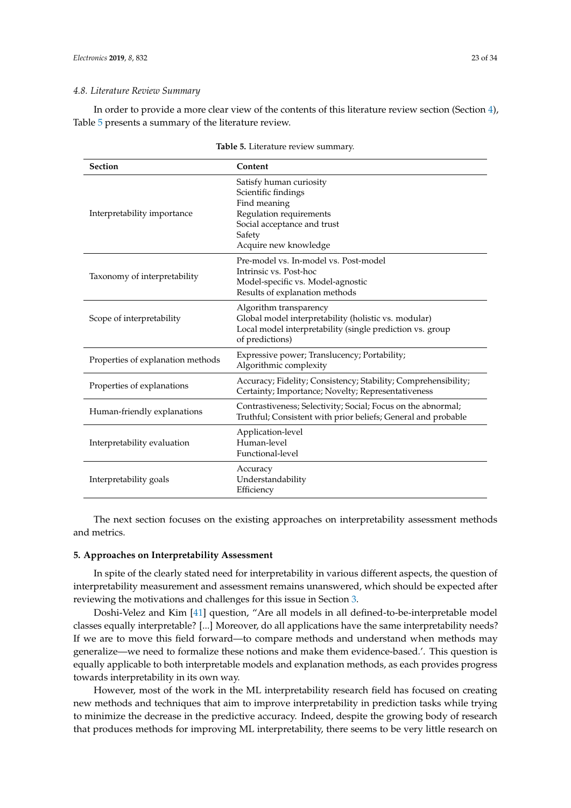### *4.8. Literature Review Summary*

In order to provide a more clear view of the contents of this literature review section (Section [4\)](#page-9-0), Table [5](#page-22-1) presents a summary of the literature review.

<span id="page-22-1"></span>

| <b>Section</b>                    | Content                                                                                                                                                        |
|-----------------------------------|----------------------------------------------------------------------------------------------------------------------------------------------------------------|
| Interpretability importance       | Satisfy human curiosity<br>Scientific findings<br>Find meaning<br>Regulation requirements<br>Social acceptance and trust<br>Safety<br>Acquire new knowledge    |
| Taxonomy of interpretability      | Pre-model vs. In-model vs. Post-model<br>Intrinsic vs. Post-hoc<br>Model-specific vs. Model-agnostic<br>Results of explanation methods                         |
| Scope of interpretability         | Algorithm transparency<br>Global model interpretability (holistic vs. modular)<br>Local model interpretability (single prediction vs. group<br>of predictions) |
| Properties of explanation methods | Expressive power; Translucency; Portability;<br>Algorithmic complexity                                                                                         |
| Properties of explanations        | Accuracy; Fidelity; Consistency; Stability; Comprehensibility;<br>Certainty; Importance; Novelty; Representativeness                                           |
| Human-friendly explanations       | Contrastiveness; Selectivity; Social; Focus on the abnormal;<br>Truthful; Consistent with prior beliefs; General and probable                                  |
| Interpretability evaluation       | Application-level<br>Human-level<br>Functional-level                                                                                                           |
| Interpretability goals            | Accuracy<br>Understandability<br>Efficiency                                                                                                                    |

**Table 5.** Literature review summary.

The next section focuses on the existing approaches on interpretability assessment methods and metrics.

## <span id="page-22-0"></span>**5. Approaches on Interpretability Assessment**

In spite of the clearly stated need for interpretability in various different aspects, the question of interpretability measurement and assessment remains unanswered, which should be expected after reviewing the motivations and challenges for this issue in Section [3.](#page-6-0)

Doshi-Velez and Kim [\[41\]](#page-28-12) question, "Are all models in all defined-to-be-interpretable model classes equally interpretable? [...] Moreover, do all applications have the same interpretability needs? If we are to move this field forward—to compare methods and understand when methods may generalize—we need to formalize these notions and make them evidence-based.'. This question is equally applicable to both interpretable models and explanation methods, as each provides progress towards interpretability in its own way.

However, most of the work in the ML interpretability research field has focused on creating new methods and techniques that aim to improve interpretability in prediction tasks while trying to minimize the decrease in the predictive accuracy. Indeed, despite the growing body of research that produces methods for improving ML interpretability, there seems to be very little research on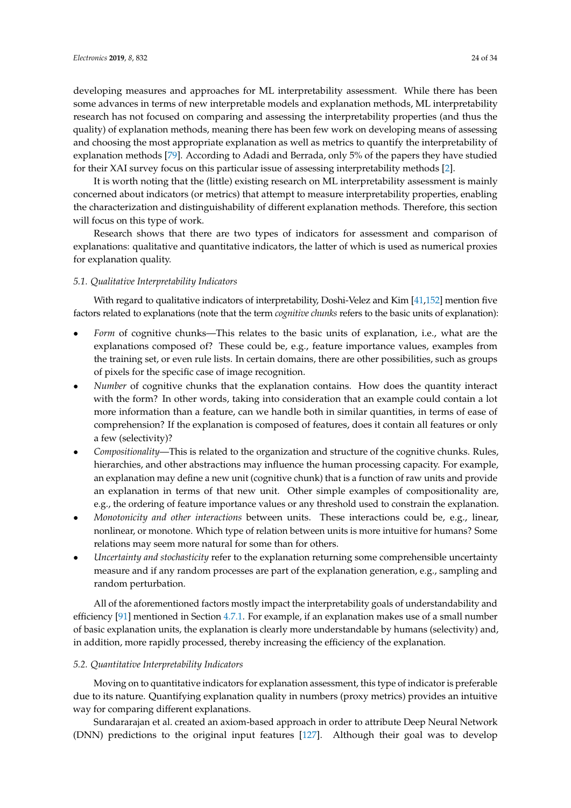developing measures and approaches for ML interpretability assessment. While there has been some advances in terms of new interpretable models and explanation methods, ML interpretability research has not focused on comparing and assessing the interpretability properties (and thus the quality) of explanation methods, meaning there has been few work on developing means of assessing and choosing the most appropriate explanation as well as metrics to quantify the interpretability of explanation methods [\[79\]](#page-30-6). According to Adadi and Berrada, only 5% of the papers they have studied for their XAI survey focus on this particular issue of assessing interpretability methods [\[2\]](#page-26-2).

It is worth noting that the (little) existing research on ML interpretability assessment is mainly concerned about indicators (or metrics) that attempt to measure interpretability properties, enabling the characterization and distinguishability of different explanation methods. Therefore, this section will focus on this type of work.

Research shows that there are two types of indicators for assessment and comparison of explanations: qualitative and quantitative indicators, the latter of which is used as numerical proxies for explanation quality.

#### <span id="page-23-0"></span>*5.1. Qualitative Interpretability Indicators*

With regard to qualitative indicators of interpretability, Doshi-Velez and Kim [\[41,](#page-28-12)[152\]](#page-33-3) mention five factors related to explanations (note that the term *cognitive chunks* refers to the basic units of explanation):

- *Form* of cognitive chunks—This relates to the basic units of explanation, i.e., what are the explanations composed of? These could be, e.g., feature importance values, examples from the training set, or even rule lists. In certain domains, there are other possibilities, such as groups of pixels for the specific case of image recognition.
- *Number* of cognitive chunks that the explanation contains. How does the quantity interact with the form? In other words, taking into consideration that an example could contain a lot more information than a feature, can we handle both in similar quantities, in terms of ease of comprehension? If the explanation is composed of features, does it contain all features or only a few (selectivity)?
- *Compositionality*—This is related to the organization and structure of the cognitive chunks. Rules, hierarchies, and other abstractions may influence the human processing capacity. For example, an explanation may define a new unit (cognitive chunk) that is a function of raw units and provide an explanation in terms of that new unit. Other simple examples of compositionality are, e.g., the ordering of feature importance values or any threshold used to constrain the explanation.
- *Monotonicity and other interactions* between units. These interactions could be, e.g., linear, nonlinear, or monotone. Which type of relation between units is more intuitive for humans? Some relations may seem more natural for some than for others.
- *Uncertainty and stochasticity* refer to the explanation returning some comprehensible uncertainty measure and if any random processes are part of the explanation generation, e.g., sampling and random perturbation.

All of the aforementioned factors mostly impact the interpretability goals of understandability and efficiency [\[91\]](#page-30-18) mentioned in Section [4.7.1.](#page-21-0) For example, if an explanation makes use of a small number of basic explanation units, the explanation is clearly more understandable by humans (selectivity) and, in addition, more rapidly processed, thereby increasing the efficiency of the explanation.

#### *5.2. Quantitative Interpretability Indicators*

Moving on to quantitative indicators for explanation assessment, this type of indicator is preferable due to its nature. Quantifying explanation quality in numbers (proxy metrics) provides an intuitive way for comparing different explanations.

Sundararajan et al. created an axiom-based approach in order to attribute Deep Neural Network (DNN) predictions to the original input features [\[127\]](#page-32-3). Although their goal was to develop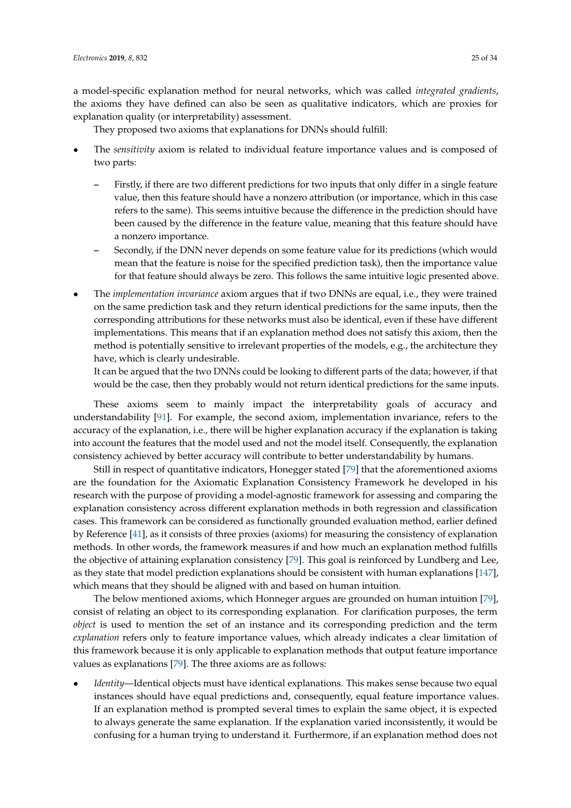a model-specific explanation method for neural networks, which was called *integrated gradients*, the axioms they have defined can also be seen as qualitative indicators, which are proxies for explanation quality (or interpretability) assessment.

They proposed two axioms that explanations for DNNs should fulfill:

- The *sensitivity* axiom is related to individual feature importance values and is composed of two parts:
	- **–** Firstly, if there are two different predictions for two inputs that only differ in a single feature value, then this feature should have a nonzero attribution (or importance, which in this case refers to the same). This seems intuitive because the difference in the prediction should have been caused by the difference in the feature value, meaning that this feature should have a nonzero importance.
	- **–** Secondly, if the DNN never depends on some feature value for its predictions (which would mean that the feature is noise for the specified prediction task), then the importance value for that feature should always be zero. This follows the same intuitive logic presented above.
- The *implementation invariance* axiom argues that if two DNNs are equal, i.e., they were trained on the same prediction task and they return identical predictions for the same inputs, then the corresponding attributions for these networks must also be identical, even if these have different implementations. This means that if an explanation method does not satisfy this axiom, then the method is potentially sensitive to irrelevant properties of the models, e.g., the architecture they have, which is clearly undesirable.

It can be argued that the two DNNs could be looking to different parts of the data; however, if that would be the case, then they probably would not return identical predictions for the same inputs.

These axioms seem to mainly impact the interpretability goals of accuracy and understandability [\[91\]](#page-30-18). For example, the second axiom, implementation invariance, refers to the accuracy of the explanation, i.e., there will be higher explanation accuracy if the explanation is taking into account the features that the model used and not the model itself. Consequently, the explanation consistency achieved by better accuracy will contribute to better understandability by humans.

Still in respect of quantitative indicators, Honegger stated [\[79\]](#page-30-6) that the aforementioned axioms are the foundation for the Axiomatic Explanation Consistency Framework he developed in his research with the purpose of providing a model-agnostic framework for assessing and comparing the explanation consistency across different explanation methods in both regression and classification cases. This framework can be considered as functionally grounded evaluation method, earlier defined by Reference [\[41\]](#page-28-12), as it consists of three proxies (axioms) for measuring the consistency of explanation methods. In other words, the framework measures if and how much an explanation method fulfills the objective of attaining explanation consistency [\[79\]](#page-30-6). This goal is reinforced by Lundberg and Lee, as they state that model prediction explanations should be consistent with human explanations [\[147\]](#page-32-22), which means that they should be aligned with and based on human intuition.

The below mentioned axioms, which Honneger argues are grounded on human intuition [\[79\]](#page-30-6), consist of relating an object to its corresponding explanation. For clarification purposes, the term *object* is used to mention the set of an instance and its corresponding prediction and the term *explanation* refers only to feature importance values, which already indicates a clear limitation of this framework because it is only applicable to explanation methods that output feature importance values as explanations [\[79\]](#page-30-6). The three axioms are as follows:

• *Identity*—Identical objects must have identical explanations. This makes sense because two equal instances should have equal predictions and, consequently, equal feature importance values. If an explanation method is prompted several times to explain the same object, it is expected to always generate the same explanation. If the explanation varied inconsistently, it would be confusing for a human trying to understand it. Furthermore, if an explanation method does not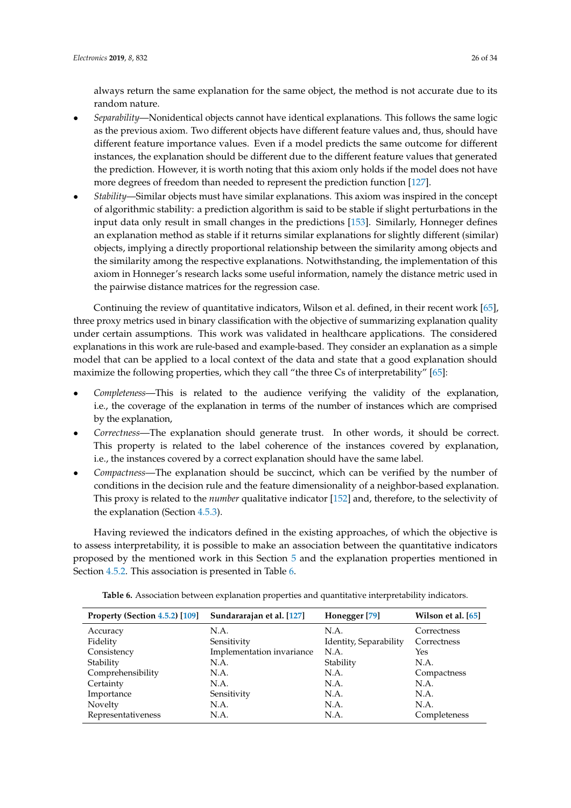always return the same explanation for the same object, the method is not accurate due to its random nature.

- *Separability*—Nonidentical objects cannot have identical explanations. This follows the same logic as the previous axiom. Two different objects have different feature values and, thus, should have different feature importance values. Even if a model predicts the same outcome for different instances, the explanation should be different due to the different feature values that generated the prediction. However, it is worth noting that this axiom only holds if the model does not have more degrees of freedom than needed to represent the prediction function [\[127\]](#page-32-3).
- *Stability*—Similar objects must have similar explanations. This axiom was inspired in the concept of algorithmic stability: a prediction algorithm is said to be stable if slight perturbations in the input data only result in small changes in the predictions [\[153\]](#page-33-4). Similarly, Honneger defines an explanation method as stable if it returns similar explanations for slightly different (similar) objects, implying a directly proportional relationship between the similarity among objects and the similarity among the respective explanations. Notwithstanding, the implementation of this axiom in Honneger's research lacks some useful information, namely the distance metric used in the pairwise distance matrices for the regression case.

Continuing the review of quantitative indicators, Wilson et al. defined, in their recent work [\[65\]](#page-29-13), three proxy metrics used in binary classification with the objective of summarizing explanation quality under certain assumptions. This work was validated in healthcare applications. The considered explanations in this work are rule-based and example-based. They consider an explanation as a simple model that can be applied to a local context of the data and state that a good explanation should maximize the following properties, which they call "the three Cs of interpretability" [\[65\]](#page-29-13):

- *Completeness*—This is related to the audience verifying the validity of the explanation, i.e., the coverage of the explanation in terms of the number of instances which are comprised by the explanation,
- *Correctness*—The explanation should generate trust. In other words, it should be correct. This property is related to the label coherence of the instances covered by explanation, i.e., the instances covered by a correct explanation should have the same label.
- *Compactness*—The explanation should be succinct, which can be verified by the number of conditions in the decision rule and the feature dimensionality of a neighbor-based explanation. This proxy is related to the *number* qualitative indicator [\[152\]](#page-33-3) and, therefore, to the selectivity of the explanation (Section [4.5.3\)](#page-17-0).

Having reviewed the indicators defined in the existing approaches, of which the objective is to assess interpretability, it is possible to make an association between the quantitative indicators proposed by the mentioned work in this Section [5](#page-22-0) and the explanation properties mentioned in Section [4.5.2.](#page-15-1) This association is presented in Table [6.](#page-25-0)

<span id="page-25-0"></span>

| Property (Section 4.5.2) [109] Sundararajan et al. [127] |                           | Honegger [79]          | Wilson et al. [65] |
|----------------------------------------------------------|---------------------------|------------------------|--------------------|
| Accuracy                                                 | N.A.                      | N.A.                   | Correctness        |
| Fidelity                                                 | Sensitivity               | Identity, Separability | Correctness        |
| Consistency                                              | Implementation invariance | N.A.                   | Yes                |
| Stability                                                | N.A.                      | Stability              | N.A.               |
| Comprehensibility                                        | N.A.                      | N.A.                   | Compactness        |
| Certainty                                                | N.A.                      | N.A.                   | N.A.               |
| Importance                                               | Sensitivity               | N.A.                   | N.A.               |
| Novelty                                                  | N.A.                      | N.A.                   | N.A.               |
| Representativeness                                       | N.A.                      | N.A.                   | Completeness       |

**Table 6.** Association between explanation properties and quantitative interpretability indicators.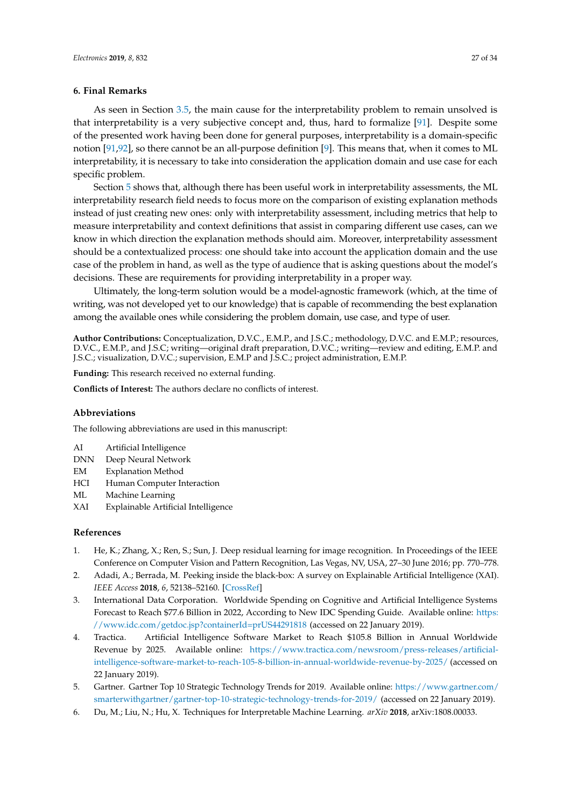# <span id="page-26-0"></span>**6. Final Remarks**

As seen in Section [3.5,](#page-8-0) the main cause for the interpretability problem to remain unsolved is that interpretability is a very subjective concept and, thus, hard to formalize [\[91\]](#page-30-18). Despite some of the presented work having been done for general purposes, interpretability is a domain-specific notion [\[91](#page-30-18)[,92\]](#page-30-19), so there cannot be an all-purpose definition [\[9\]](#page-27-2). This means that, when it comes to ML interpretability, it is necessary to take into consideration the application domain and use case for each specific problem.

Section [5](#page-22-0) shows that, although there has been useful work in interpretability assessments, the ML interpretability research field needs to focus more on the comparison of existing explanation methods instead of just creating new ones: only with interpretability assessment, including metrics that help to measure interpretability and context definitions that assist in comparing different use cases, can we know in which direction the explanation methods should aim. Moreover, interpretability assessment should be a contextualized process: one should take into account the application domain and the use case of the problem in hand, as well as the type of audience that is asking questions about the model's decisions. These are requirements for providing interpretability in a proper way.

Ultimately, the long-term solution would be a model-agnostic framework (which, at the time of writing, was not developed yet to our knowledge) that is capable of recommending the best explanation among the available ones while considering the problem domain, use case, and type of user.

**Author Contributions:** Conceptualization, D.V.C., E.M.P., and J.S.C.; methodology, D.V.C. and E.M.P.; resources, D.V.C., E.M.P., and J.S.C; writing—original draft preparation, D.V.C.; writing—review and editing, E.M.P. and J.S.C.; visualization, D.V.C.; supervision, E.M.P and J.S.C.; project administration, E.M.P.

**Funding:** This research received no external funding.

**Conflicts of Interest:** The authors declare no conflicts of interest.

# **Abbreviations**

The following abbreviations are used in this manuscript:

- AI Artificial Intelligence
- DNN Deep Neural Network
- EM Explanation Method
- HCI Human Computer Interaction
- ML Machine Learning
- XAI Explainable Artificial Intelligence

#### **References**

- <span id="page-26-1"></span>1. He, K.; Zhang, X.; Ren, S.; Sun, J. Deep residual learning for image recognition. In Proceedings of the IEEE Conference on Computer Vision and Pattern Recognition, Las Vegas, NV, USA, 27–30 June 2016; pp. 770–778.
- <span id="page-26-2"></span>2. Adadi, A.; Berrada, M. Peeking inside the black-box: A survey on Explainable Artificial Intelligence (XAI). *IEEE Access* **2018**, *6*, 52138–52160. [\[CrossRef\]](http://dx.doi.org/10.1109/ACCESS.2018.2870052)
- <span id="page-26-3"></span>3. International Data Corporation. Worldwide Spending on Cognitive and Artificial Intelligence Systems Forecast to Reach \$77.6 Billion in 2022, According to New IDC Spending Guide. Available online: [https:](https://www.idc.com/getdoc.jsp?containerId=prUS44291818) [//www.idc.com/getdoc.jsp?containerId=prUS44291818](https://www.idc.com/getdoc.jsp?containerId=prUS44291818) (accessed on 22 January 2019).
- <span id="page-26-4"></span>4. Tractica. Artificial Intelligence Software Market to Reach \$105.8 Billion in Annual Worldwide Revenue by 2025. Available online: [https://www.tractica.com/newsroom/press-releases/artificial](https://www.tractica.com/newsroom/press-releases/artificial-intelligence-software-market-to-reach-105-8-billion-in-annual-worldwide-revenue-by-2025/)[intelligence-software-market-to-reach-105-8-billion-in-annual-worldwide-revenue-by-2025/](https://www.tractica.com/newsroom/press-releases/artificial-intelligence-software-market-to-reach-105-8-billion-in-annual-worldwide-revenue-by-2025/) (accessed on 22 January 2019).
- <span id="page-26-5"></span>5. Gartner. Gartner Top 10 Strategic Technology Trends for 2019. Available online: [https://www.gartner.com/](https://www.gartner.com/smarterwithgartner/gartner-top-10-strategic-technology-trends-for-2019/) [smarterwithgartner/gartner-top-10-strategic-technology-trends-for-2019/](https://www.gartner.com/smarterwithgartner/gartner-top-10-strategic-technology-trends-for-2019/) (accessed on 22 January 2019).
- <span id="page-26-6"></span>6. Du, M.; Liu, N.; Hu, X. Techniques for Interpretable Machine Learning. *arXiv* **2018**, arXiv:1808.00033.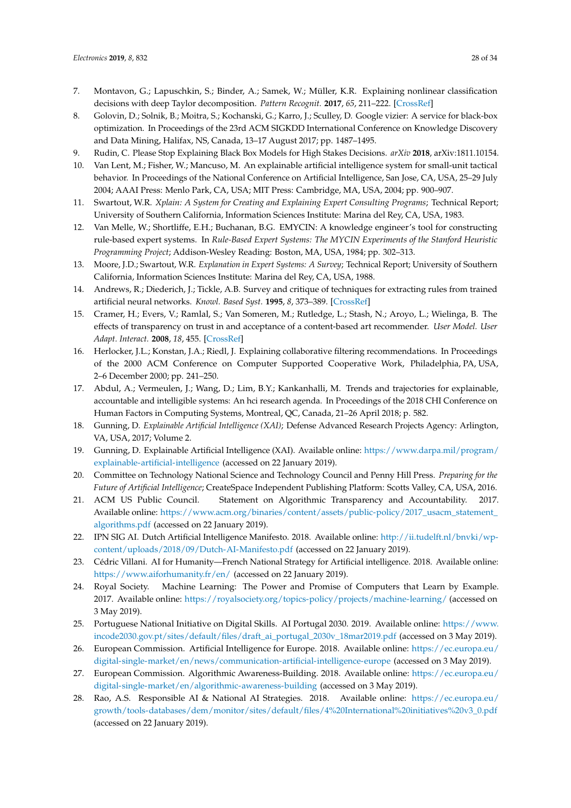- <span id="page-27-0"></span>7. Montavon, G.; Lapuschkin, S.; Binder, A.; Samek, W.; Müller, K.R. Explaining nonlinear classification decisions with deep Taylor decomposition. *Pattern Recognit.* **2017**, *65*, 211–222. [\[CrossRef\]](http://dx.doi.org/10.1016/j.patcog.2016.11.008)
- <span id="page-27-1"></span>8. Golovin, D.; Solnik, B.; Moitra, S.; Kochanski, G.; Karro, J.; Sculley, D. Google vizier: A service for black-box optimization. In Proceedings of the 23rd ACM SIGKDD International Conference on Knowledge Discovery and Data Mining, Halifax, NS, Canada, 13–17 August 2017; pp. 1487–1495.
- <span id="page-27-2"></span>9. Rudin, C. Please Stop Explaining Black Box Models for High Stakes Decisions. *arXiv* **2018**, arXiv:1811.10154.
- <span id="page-27-3"></span>10. Van Lent, M.; Fisher, W.; Mancuso, M. An explainable artificial intelligence system for small-unit tactical behavior. In Proceedings of the National Conference on Artificial Intelligence, San Jose, CA, USA, 25–29 July 2004; AAAI Press: Menlo Park, CA, USA; MIT Press: Cambridge, MA, USA, 2004; pp. 900–907.
- <span id="page-27-4"></span>11. Swartout, W.R. *Xplain: A System for Creating and Explaining Expert Consulting Programs*; Technical Report; University of Southern California, Information Sciences Institute: Marina del Rey, CA, USA, 1983.
- 12. Van Melle, W.; Shortliffe, E.H.; Buchanan, B.G. EMYCIN: A knowledge engineer's tool for constructing rule-based expert systems. In *Rule-Based Expert Systems: The MYCIN Experiments of the Stanford Heuristic Programming Project*; Addison-Wesley Reading: Boston, MA, USA, 1984; pp. 302–313.
- <span id="page-27-5"></span>13. Moore, J.D.; Swartout, W.R. *Explanation in Expert Systems: A Survey*; Technical Report; University of Southern California, Information Sciences Institute: Marina del Rey, CA, USA, 1988.
- <span id="page-27-6"></span>14. Andrews, R.; Diederich, J.; Tickle, A.B. Survey and critique of techniques for extracting rules from trained artificial neural networks. *Knowl. Based Syst.* **1995**, *8*, 373–389. [\[CrossRef\]](http://dx.doi.org/10.1016/0950-7051(96)81920-4)
- <span id="page-27-7"></span>15. Cramer, H.; Evers, V.; Ramlal, S.; Van Someren, M.; Rutledge, L.; Stash, N.; Aroyo, L.; Wielinga, B. The effects of transparency on trust in and acceptance of a content-based art recommender. *User Model. User Adapt. Interact.* **2008**, *18*, 455. [\[CrossRef\]](http://dx.doi.org/10.1007/s11257-008-9051-3)
- <span id="page-27-8"></span>16. Herlocker, J.L.; Konstan, J.A.; Riedl, J. Explaining collaborative filtering recommendations. In Proceedings of the 2000 ACM Conference on Computer Supported Cooperative Work, Philadelphia, PA, USA, 2–6 December 2000; pp. 241–250.
- <span id="page-27-9"></span>17. Abdul, A.; Vermeulen, J.; Wang, D.; Lim, B.Y.; Kankanhalli, M. Trends and trajectories for explainable, accountable and intelligible systems: An hci research agenda. In Proceedings of the 2018 CHI Conference on Human Factors in Computing Systems, Montreal, QC, Canada, 21–26 April 2018; p. 582.
- <span id="page-27-10"></span>18. Gunning, D. *Explainable Artificial Intelligence (XAI)*; Defense Advanced Research Projects Agency: Arlington, VA, USA, 2017; Volume 2.
- <span id="page-27-11"></span>19. Gunning, D. Explainable Artificial Intelligence (XAI). Available online: [https://www.darpa.mil/program/](https://www.darpa.mil/program/explainable-artificial-intelligence) [explainable-artificial-intelligence](https://www.darpa.mil/program/explainable-artificial-intelligence) (accessed on 22 January 2019).
- <span id="page-27-12"></span>20. Committee on Technology National Science and Technology Council and Penny Hill Press. *Preparing for the Future of Artificial Intelligence*; CreateSpace Independent Publishing Platform: Scotts Valley, CA, USA, 2016.
- <span id="page-27-13"></span>21. ACM US Public Council. Statement on Algorithmic Transparency and Accountability. 2017. Available online: [https://www.acm.org/binaries/content/assets/public-policy/2017\\_usacm\\_statement\\_](https://www.acm.org/binaries/content/assets/public-policy/2017_usacm_statement_algorithms.pdf) [algorithms.pdf](https://www.acm.org/binaries/content/assets/public-policy/2017_usacm_statement_algorithms.pdf) (accessed on 22 January 2019).
- <span id="page-27-14"></span>22. IPN SIG AI. Dutch Artificial Intelligence Manifesto. 2018. Available online: [http://ii.tudelft.nl/bnvki/wp](http://ii.tudelft.nl/bnvki/wp-content/uploads/2018/09/Dutch-AI-Manifesto.pdf)[content/uploads/2018/09/Dutch-AI-Manifesto.pdf](http://ii.tudelft.nl/bnvki/wp-content/uploads/2018/09/Dutch-AI-Manifesto.pdf) (accessed on 22 January 2019).
- <span id="page-27-15"></span>23. Cédric Villani. AI for Humanity—French National Strategy for Artificial intelligence. 2018. Available online: <https://www.aiforhumanity.fr/en/> (accessed on 22 January 2019).
- <span id="page-27-16"></span>24. Royal Society. Machine Learning: The Power and Promise of Computers that Learn by Example. 2017. Available online: <https://royalsociety.org/topics-policy/projects/machine-learning/> (accessed on 3 May 2019).
- <span id="page-27-17"></span>25. Portuguese National Initiative on Digital Skills. AI Portugal 2030. 2019. Available online: [https://www.](https://www.incode2030.gov.pt/sites/default/files/draft_ai_portugal_2030v_18mar2019.pdf) [incode2030.gov.pt/sites/default/files/draft\\_ai\\_portugal\\_2030v\\_18mar2019.pdf](https://www.incode2030.gov.pt/sites/default/files/draft_ai_portugal_2030v_18mar2019.pdf) (accessed on 3 May 2019).
- <span id="page-27-18"></span>26. European Commission. Artificial Intelligence for Europe. 2018. Available online: [https://ec.europa.eu/](https://ec.europa.eu/digital-single-market/en/news/communication-artificial-intelligence-europe) [digital-single-market/en/news/communication-artificial-intelligence-europe](https://ec.europa.eu/digital-single-market/en/news/communication-artificial-intelligence-europe) (accessed on 3 May 2019).
- <span id="page-27-19"></span>27. European Commission. Algorithmic Awareness-Building. 2018. Available online: [https://ec.europa.eu/](https://ec.europa.eu/digital-single-market/en/algorithmic-awareness-building) [digital-single-market/en/algorithmic-awareness-building](https://ec.europa.eu/digital-single-market/en/algorithmic-awareness-building) (accessed on 3 May 2019).
- <span id="page-27-20"></span>28. Rao, A.S. Responsible AI & National AI Strategies. 2018. Available online: [https://ec.europa.eu/](https://ec.europa.eu/growth/tools-databases/dem/monitor/sites/default/files/4%20International%20initiatives%20v3_0.pdf) [growth/tools-databases/dem/monitor/sites/default/files/4%20International%20initiatives%20v3\\_0.pdf](https://ec.europa.eu/growth/tools-databases/dem/monitor/sites/default/files/4%20International%20initiatives%20v3_0.pdf) (accessed on 22 January 2019).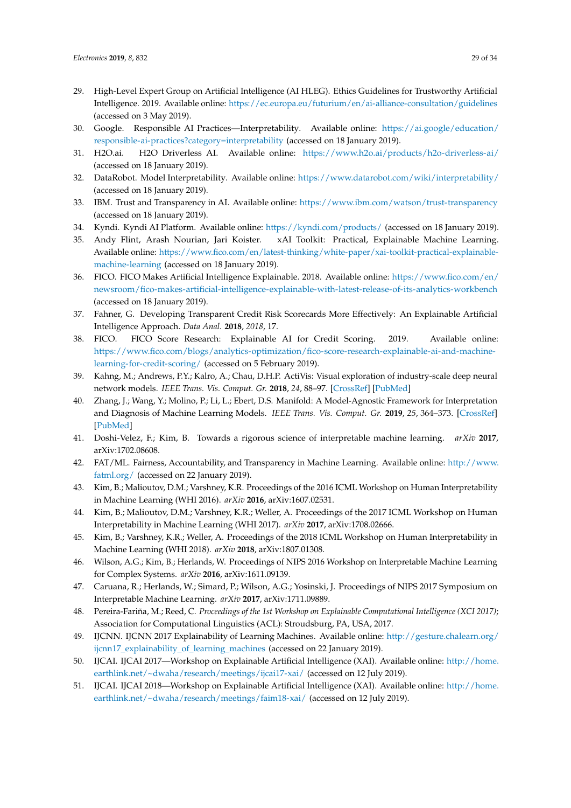- <span id="page-28-0"></span>29. High-Level Expert Group on Artificial Intelligence (AI HLEG). Ethics Guidelines for Trustworthy Artificial Intelligence. 2019. Available online: <https://ec.europa.eu/futurium/en/ai-alliance-consultation/guidelines> (accessed on 3 May 2019).
- <span id="page-28-1"></span>30. Google. Responsible AI Practices—Interpretability. Available online: [https://ai.google/education/](https://ai.google/education/responsible-ai-practices?category=interpretability) [responsible-ai-practices?category=interpretability](https://ai.google/education/responsible-ai-practices?category=interpretability) (accessed on 18 January 2019).
- <span id="page-28-2"></span>31. H2O.ai. H2O Driverless AI. Available online: <https://www.h2o.ai/products/h2o-driverless-ai/> (accessed on 18 January 2019).
- <span id="page-28-3"></span>32. DataRobot. Model Interpretability. Available online: <https://www.datarobot.com/wiki/interpretability/> (accessed on 18 January 2019).
- <span id="page-28-4"></span>33. IBM. Trust and Transparency in AI. Available online: <https://www.ibm.com/watson/trust-transparency> (accessed on 18 January 2019).
- <span id="page-28-5"></span>34. Kyndi. Kyndi AI Platform. Available online: <https://kyndi.com/products/> (accessed on 18 January 2019).
- <span id="page-28-6"></span>35. Andy Flint, Arash Nourian, Jari Koister. xAI Toolkit: Practical, Explainable Machine Learning. Available online: [https://www.fico.com/en/latest-thinking/white-paper/xai-toolkit-practical-explainable](https://www.fico.com/en/latest-thinking/white-paper/xai-toolkit-practical-explainable-machine-learning)[machine-learning](https://www.fico.com/en/latest-thinking/white-paper/xai-toolkit-practical-explainable-machine-learning) (accessed on 18 January 2019).
- <span id="page-28-7"></span>36. FICO. FICO Makes Artificial Intelligence Explainable. 2018. Available online: [https://www.fico.com/en/](https://www.fico.com/en/newsroom/fico-makes-artificial-intelligence-explainable-with-latest-release-of-its-analytics-workbench) [newsroom/fico-makes-artificial-intelligence-explainable-with-latest-release-of-its-analytics-workbench](https://www.fico.com/en/newsroom/fico-makes-artificial-intelligence-explainable-with-latest-release-of-its-analytics-workbench) (accessed on 18 January 2019).
- <span id="page-28-8"></span>37. Fahner, G. Developing Transparent Credit Risk Scorecards More Effectively: An Explainable Artificial Intelligence Approach. *Data Anal.* **2018**, *2018*, 17.
- <span id="page-28-9"></span>38. FICO. FICO Score Research: Explainable AI for Credit Scoring. 2019. Available online: [https://www.fico.com/blogs/analytics-optimization/fico-score-research-explainable-ai-and-machine](https://www.fico.com/blogs/analytics-optimization/fico-score-research-explainable-ai-and-machine-learning-for-credit-scoring/)[learning-for-credit-scoring/](https://www.fico.com/blogs/analytics-optimization/fico-score-research-explainable-ai-and-machine-learning-for-credit-scoring/) (accessed on 5 February 2019).
- <span id="page-28-10"></span>39. Kahng, M.; Andrews, P.Y.; Kalro, A.; Chau, D.H.P. ActiVis: Visual exploration of industry-scale deep neural network models. *IEEE Trans. Vis. Comput. Gr.* **2018**, *24*, 88–97. [\[CrossRef\]](http://dx.doi.org/10.1109/TVCG.2017.2744718) [\[PubMed\]](http://www.ncbi.nlm.nih.gov/pubmed/28866557)
- <span id="page-28-11"></span>40. Zhang, J.; Wang, Y.; Molino, P.; Li, L.; Ebert, D.S. Manifold: A Model-Agnostic Framework for Interpretation and Diagnosis of Machine Learning Models. *IEEE Trans. Vis. Comput. Gr.* **2019**, *25*, 364–373. [\[CrossRef\]](http://dx.doi.org/10.1109/TVCG.2018.2864499) [\[PubMed\]](http://www.ncbi.nlm.nih.gov/pubmed/30130197)
- <span id="page-28-12"></span>41. Doshi-Velez, F.; Kim, B. Towards a rigorous science of interpretable machine learning. *arXiv* **2017**, arXiv:1702.08608.
- <span id="page-28-13"></span>42. FAT/ML. Fairness, Accountability, and Transparency in Machine Learning. Available online: [http://www.](http://www.fatml.org/) [fatml.org/](http://www.fatml.org/) (accessed on 22 January 2019).
- <span id="page-28-14"></span>43. Kim, B.; Malioutov, D.M.; Varshney, K.R. Proceedings of the 2016 ICML Workshop on Human Interpretability in Machine Learning (WHI 2016). *arXiv* **2016**, arXiv:1607.02531.
- 44. Kim, B.; Malioutov, D.M.; Varshney, K.R.; Weller, A. Proceedings of the 2017 ICML Workshop on Human Interpretability in Machine Learning (WHI 2017). *arXiv* **2017**, arXiv:1708.02666.
- <span id="page-28-15"></span>45. Kim, B.; Varshney, K.R.; Weller, A. Proceedings of the 2018 ICML Workshop on Human Interpretability in Machine Learning (WHI 2018). *arXiv* **2018**, arXiv:1807.01308.
- <span id="page-28-16"></span>46. Wilson, A.G.; Kim, B.; Herlands, W. Proceedings of NIPS 2016 Workshop on Interpretable Machine Learning for Complex Systems. *arXiv* **2016**, arXiv:1611.09139.
- <span id="page-28-17"></span>47. Caruana, R.; Herlands, W.; Simard, P.; Wilson, A.G.; Yosinski, J. Proceedings of NIPS 2017 Symposium on Interpretable Machine Learning. *arXiv* **2017**, arXiv:1711.09889.
- <span id="page-28-18"></span>48. Pereira-Fariña, M.; Reed, C. *Proceedings of the 1st Workshop on Explainable Computational Intelligence (XCI 2017)*; Association for Computational Linguistics (ACL): Stroudsburg, PA, USA, 2017.
- <span id="page-28-19"></span>49. IJCNN. IJCNN 2017 Explainability of Learning Machines. Available online: [http://gesture.chalearn.org/](http://gesture.chalearn.org/ijcnn17_explainability_of_learning_machines) [ijcnn17\\_explainability\\_of\\_learning\\_machines](http://gesture.chalearn.org/ijcnn17_explainability_of_learning_machines) (accessed on 22 January 2019).
- <span id="page-28-20"></span>50. IJCAI. IJCAI 2017—Workshop on Explainable Artificial Intelligence (XAI). Available online: [http://home.](http://home.earthlink.net/~dwaha/research/meetings/ijcai17-xai/) [earthlink.net/~dwaha/research/meetings/ijcai17-xai/](http://home.earthlink.net/~dwaha/research/meetings/ijcai17-xai/) (accessed on 12 July 2019).
- <span id="page-28-21"></span>51. IJCAI. IJCAI 2018—Workshop on Explainable Artificial Intelligence (XAI). Available online: [http://home.](http://home.earthlink.net/~dwaha/research/meetings/faim18-xai/) [earthlink.net/~dwaha/research/meetings/faim18-xai/](http://home.earthlink.net/~dwaha/research/meetings/faim18-xai/) (accessed on 12 July 2019).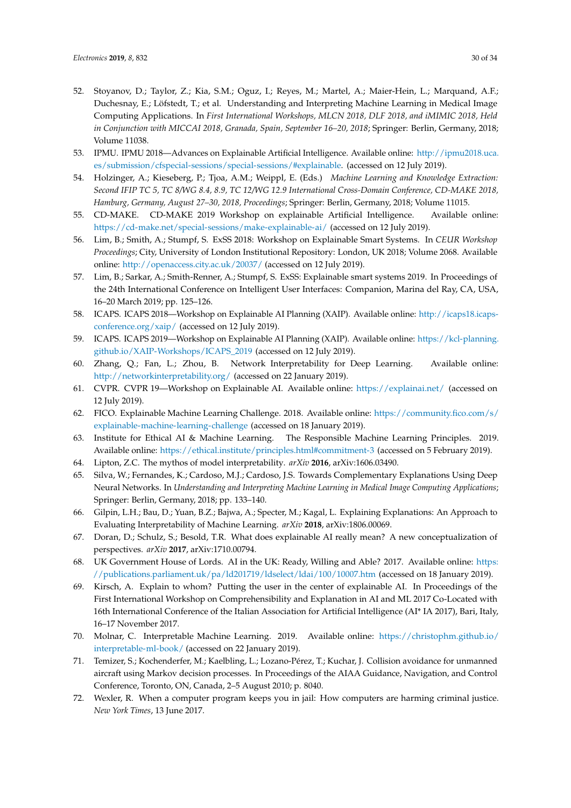- <span id="page-29-0"></span>52. Stoyanov, D.; Taylor, Z.; Kia, S.M.; Oguz, I.; Reyes, M.; Martel, A.; Maier-Hein, L.; Marquand, A.F.; Duchesnay, E.; Löfstedt, T.; et al. Understanding and Interpreting Machine Learning in Medical Image Computing Applications. In *First International Workshops, MLCN 2018, DLF 2018, and iMIMIC 2018, Held in Conjunction with MICCAI 2018, Granada, Spain, September 16–20, 2018*; Springer: Berlin, Germany, 2018; Volume 11038.
- <span id="page-29-1"></span>53. IPMU. IPMU 2018—Advances on Explainable Artificial Intelligence. Available online: [http://ipmu2018.uca.](http://ipmu2018.uca.es/submission/cfspecial-sessions/special-sessions/#explainable) [es/submission/cfspecial-sessions/special-sessions/#explainable.](http://ipmu2018.uca.es/submission/cfspecial-sessions/special-sessions/#explainable) (accessed on 12 July 2019).
- <span id="page-29-2"></span>54. Holzinger, A.; Kieseberg, P.; Tjoa, A.M.; Weippl, E. (Eds.) *Machine Learning and Knowledge Extraction: Second IFIP TC 5, TC 8/WG 8.4, 8.9, TC 12/WG 12.9 International Cross-Domain Conference, CD-MAKE 2018, Hamburg, Germany, August 27–30, 2018, Proceedings*; Springer: Berlin, Germany, 2018; Volume 11015.
- <span id="page-29-3"></span>55. CD-MAKE. CD-MAKE 2019 Workshop on explainable Artificial Intelligence. Available online: <https://cd-make.net/special-sessions/make-explainable-ai/> (accessed on 12 July 2019).
- <span id="page-29-4"></span>56. Lim, B.; Smith, A.; Stumpf, S. ExSS 2018: Workshop on Explainable Smart Systems. In *CEUR Workshop Proceedings*; City, University of London Institutional Repository: London, UK 2018; Volume 2068. Available online: <http://openaccess.city.ac.uk/20037/> (accessed on 12 July 2019).
- <span id="page-29-5"></span>57. Lim, B.; Sarkar, A.; Smith-Renner, A.; Stumpf, S. ExSS: Explainable smart systems 2019. In Proceedings of the 24th International Conference on Intelligent User Interfaces: Companion, Marina del Ray, CA, USA, 16–20 March 2019; pp. 125–126.
- <span id="page-29-6"></span>58. ICAPS. ICAPS 2018—Workshop on Explainable AI Planning (XAIP). Available online: [http://icaps18.icaps](http://icaps18.icaps-conference.org/xaip/)[conference.org/xaip/](http://icaps18.icaps-conference.org/xaip/) (accessed on 12 July 2019).
- <span id="page-29-7"></span>59. ICAPS. ICAPS 2019—Workshop on Explainable AI Planning (XAIP). Available online: [https://kcl-planning.](https://kcl-planning.github.io/XAIP-Workshops/ICAPS_2019) [github.io/XAIP-Workshops/ICAPS\\_2019](https://kcl-planning.github.io/XAIP-Workshops/ICAPS_2019) (accessed on 12 July 2019).
- <span id="page-29-8"></span>60. Zhang, Q.; Fan, L.; Zhou, B. Network Interpretability for Deep Learning. Available online: <http://networkinterpretability.org/> (accessed on 22 January 2019).
- <span id="page-29-9"></span>61. CVPR. CVPR 19—Workshop on Explainable AI. Available online: <https://explainai.net/> (accessed on 12 July 2019).
- <span id="page-29-10"></span>62. FICO. Explainable Machine Learning Challenge. 2018. Available online: [https://community.fico.com/s/](https://community.fico.com/s/explainable-machine-learning-challenge) [explainable-machine-learning-challenge](https://community.fico.com/s/explainable-machine-learning-challenge) (accessed on 18 January 2019).
- <span id="page-29-11"></span>63. Institute for Ethical AI & Machine Learning. The Responsible Machine Learning Principles. 2019. Available online: <https://ethical.institute/principles.html#commitment-3> (accessed on 5 February 2019).
- <span id="page-29-12"></span>64. Lipton, Z.C. The mythos of model interpretability. *arXiv* **2016**, arXiv:1606.03490.
- <span id="page-29-13"></span>65. Silva, W.; Fernandes, K.; Cardoso, M.J.; Cardoso, J.S. Towards Complementary Explanations Using Deep Neural Networks. In *Understanding and Interpreting Machine Learning in Medical Image Computing Applications*; Springer: Berlin, Germany, 2018; pp. 133–140.
- <span id="page-29-14"></span>66. Gilpin, L.H.; Bau, D.; Yuan, B.Z.; Bajwa, A.; Specter, M.; Kagal, L. Explaining Explanations: An Approach to Evaluating Interpretability of Machine Learning. *arXiv* **2018**, arXiv:1806.00069.
- <span id="page-29-15"></span>67. Doran, D.; Schulz, S.; Besold, T.R. What does explainable AI really mean? A new conceptualization of perspectives. *arXiv* **2017**, arXiv:1710.00794.
- <span id="page-29-16"></span>68. UK Government House of Lords. AI in the UK: Ready, Willing and Able? 2017. Available online: [https:](https://publications.parliament.uk/pa/ld201719/ldselect/ldai/100/10007.htm) [//publications.parliament.uk/pa/ld201719/ldselect/ldai/100/10007.htm](https://publications.parliament.uk/pa/ld201719/ldselect/ldai/100/10007.htm) (accessed on 18 January 2019).
- <span id="page-29-17"></span>69. Kirsch, A. Explain to whom? Putting the user in the center of explainable AI. In Proceedings of the First International Workshop on Comprehensibility and Explanation in AI and ML 2017 Co-Located with 16th International Conference of the Italian Association for Artificial Intelligence (AI\* IA 2017), Bari, Italy, 16–17 November 2017.
- <span id="page-29-18"></span>70. Molnar, C. Interpretable Machine Learning. 2019. Available online: [https://christophm.github.io/](https://christophm.github.io/interpretable-ml-book/) [interpretable-ml-book/](https://christophm.github.io/interpretable-ml-book/) (accessed on 22 January 2019).
- <span id="page-29-19"></span>71. Temizer, S.; Kochenderfer, M.; Kaelbling, L.; Lozano-Pérez, T.; Kuchar, J. Collision avoidance for unmanned aircraft using Markov decision processes. In Proceedings of the AIAA Guidance, Navigation, and Control Conference, Toronto, ON, Canada, 2–5 August 2010; p. 8040.
- <span id="page-29-20"></span>72. Wexler, R. When a computer program keeps you in jail: How computers are harming criminal justice. *New York Times*, 13 June 2017.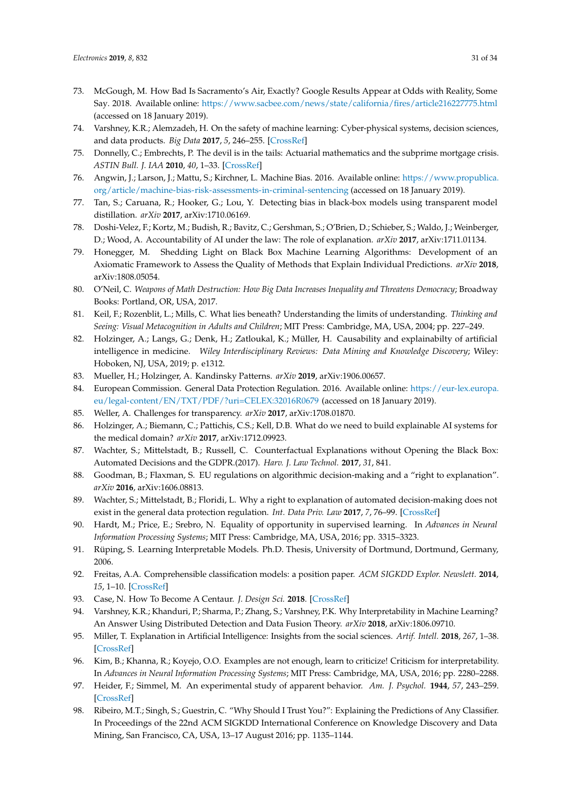- <span id="page-30-0"></span>73. McGough, M. How Bad Is Sacramento's Air, Exactly? Google Results Appear at Odds with Reality, Some Say. 2018. Available online: <https://www.sacbee.com/news/state/california/fires/article216227775.html> (accessed on 18 January 2019).
- <span id="page-30-1"></span>74. Varshney, K.R.; Alemzadeh, H. On the safety of machine learning: Cyber-physical systems, decision sciences, and data products. *Big Data* **2017**, *5*, 246–255. [\[CrossRef\]](http://dx.doi.org/10.1089/big.2016.0051)
- <span id="page-30-2"></span>75. Donnelly, C.; Embrechts, P. The devil is in the tails: Actuarial mathematics and the subprime mortgage crisis. *ASTIN Bull. J. IAA* **2010**, *40*, 1–33. [\[CrossRef\]](http://dx.doi.org/10.2143/AST.40.1.2049222)
- <span id="page-30-3"></span>76. Angwin, J.; Larson, J.; Mattu, S.; Kirchner, L. Machine Bias. 2016. Available online: [https://www.propublica.](https://www.propublica.org/article/machine-bias-risk-assessments-in-criminal-sentencing) [org/article/machine-bias-risk-assessments-in-criminal-sentencing](https://www.propublica.org/article/machine-bias-risk-assessments-in-criminal-sentencing) (accessed on 18 January 2019).
- <span id="page-30-4"></span>77. Tan, S.; Caruana, R.; Hooker, G.; Lou, Y. Detecting bias in black-box models using transparent model distillation. *arXiv* **2017**, arXiv:1710.06169.
- <span id="page-30-5"></span>78. Doshi-Velez, F.; Kortz, M.; Budish, R.; Bavitz, C.; Gershman, S.; O'Brien, D.; Schieber, S.; Waldo, J.; Weinberger, D.; Wood, A. Accountability of AI under the law: The role of explanation. *arXiv* **2017**, arXiv:1711.01134.
- <span id="page-30-6"></span>79. Honegger, M. Shedding Light on Black Box Machine Learning Algorithms: Development of an Axiomatic Framework to Assess the Quality of Methods that Explain Individual Predictions. *arXiv* **2018**, arXiv:1808.05054.
- <span id="page-30-7"></span>80. O'Neil, C. *Weapons of Math Destruction: How Big Data Increases Inequality and Threatens Democracy*; Broadway Books: Portland, OR, USA, 2017.
- <span id="page-30-8"></span>81. Keil, F.; Rozenblit, L.; Mills, C. What lies beneath? Understanding the limits of understanding. *Thinking and Seeing: Visual Metacognition in Adults and Children*; MIT Press: Cambridge, MA, USA, 2004; pp. 227–249.
- <span id="page-30-9"></span>82. Holzinger, A.; Langs, G.; Denk, H.; Zatloukal, K.; Müller, H. Causability and explainabilty of artificial intelligence in medicine. *Wiley Interdisciplinary Reviews: Data Mining and Knowledge Discovery*; Wiley: Hoboken, NJ, USA, 2019; p. e1312.
- <span id="page-30-10"></span>83. Mueller, H.; Holzinger, A. Kandinsky Patterns. *arXiv* **2019**, arXiv:1906.00657.
- <span id="page-30-11"></span>84. European Commission. General Data Protection Regulation. 2016. Available online: [https://eur-lex.europa.](https://eur-lex.europa.eu/legal-content/EN/TXT/PDF/?uri=CELEX:32016R0679) [eu/legal-content/EN/TXT/PDF/?uri=CELEX:32016R0679](https://eur-lex.europa.eu/legal-content/EN/TXT/PDF/?uri=CELEX:32016R0679) (accessed on 18 January 2019).
- <span id="page-30-12"></span>85. Weller, A. Challenges for transparency. *arXiv* **2017**, arXiv:1708.01870.
- <span id="page-30-13"></span>86. Holzinger, A.; Biemann, C.; Pattichis, C.S.; Kell, D.B. What do we need to build explainable AI systems for the medical domain? *arXiv* **2017**, arXiv:1712.09923.
- <span id="page-30-14"></span>87. Wachter, S.; Mittelstadt, B.; Russell, C. Counterfactual Explanations without Opening the Black Box: Automated Decisions and the GDPR.(2017). *Harv. J. Law Technol.* **2017**, *31*, 841.
- <span id="page-30-15"></span>88. Goodman, B.; Flaxman, S. EU regulations on algorithmic decision-making and a "right to explanation". *arXiv* **2016**, arXiv:1606.08813.
- <span id="page-30-16"></span>89. Wachter, S.; Mittelstadt, B.; Floridi, L. Why a right to explanation of automated decision-making does not exist in the general data protection regulation. *Int. Data Priv. Law* **2017**, *7*, 76–99. [\[CrossRef\]](http://dx.doi.org/10.1093/idpl/ipx005)
- <span id="page-30-17"></span>90. Hardt, M.; Price, E.; Srebro, N. Equality of opportunity in supervised learning. In *Advances in Neural Information Processing Systems*; MIT Press: Cambridge, MA, USA, 2016; pp. 3315–3323.
- <span id="page-30-18"></span>91. Rüping, S. Learning Interpretable Models. Ph.D. Thesis, University of Dortmund, Dortmund, Germany, 2006.
- <span id="page-30-19"></span>92. Freitas, A.A. Comprehensible classification models: a position paper. *ACM SIGKDD Explor. Newslett.* **2014**, *15*, 1–10. [\[CrossRef\]](http://dx.doi.org/10.1145/2594473.2594475)
- <span id="page-30-21"></span><span id="page-30-20"></span>93. Case, N. How To Become A Centaur. *J. Design Sci.* **2018**. [\[CrossRef\]](http://dx.doi.org/10.21428/61b2215c)
- 94. Varshney, K.R.; Khanduri, P.; Sharma, P.; Zhang, S.; Varshney, P.K. Why Interpretability in Machine Learning? An Answer Using Distributed Detection and Data Fusion Theory. *arXiv* **2018**, arXiv:1806.09710.
- <span id="page-30-22"></span>95. Miller, T. Explanation in Artificial Intelligence: Insights from the social sciences. *Artif. Intell.* **2018**, *267*, 1–38. [\[CrossRef\]](http://dx.doi.org/10.1016/j.artint.2018.07.007)
- <span id="page-30-23"></span>96. Kim, B.; Khanna, R.; Koyejo, O.O. Examples are not enough, learn to criticize! Criticism for interpretability. In *Advances in Neural Information Processing Systems*; MIT Press: Cambridge, MA, USA, 2016; pp. 2280–2288.
- <span id="page-30-24"></span>97. Heider, F.; Simmel, M. An experimental study of apparent behavior. *Am. J. Psychol.* **1944**, *57*, 243–259. [\[CrossRef\]](http://dx.doi.org/10.2307/1416950)
- <span id="page-30-25"></span>98. Ribeiro, M.T.; Singh, S.; Guestrin, C. "Why Should I Trust You?": Explaining the Predictions of Any Classifier. In Proceedings of the 22nd ACM SIGKDD International Conference on Knowledge Discovery and Data Mining, San Francisco, CA, USA, 13–17 August 2016; pp. 1135–1144.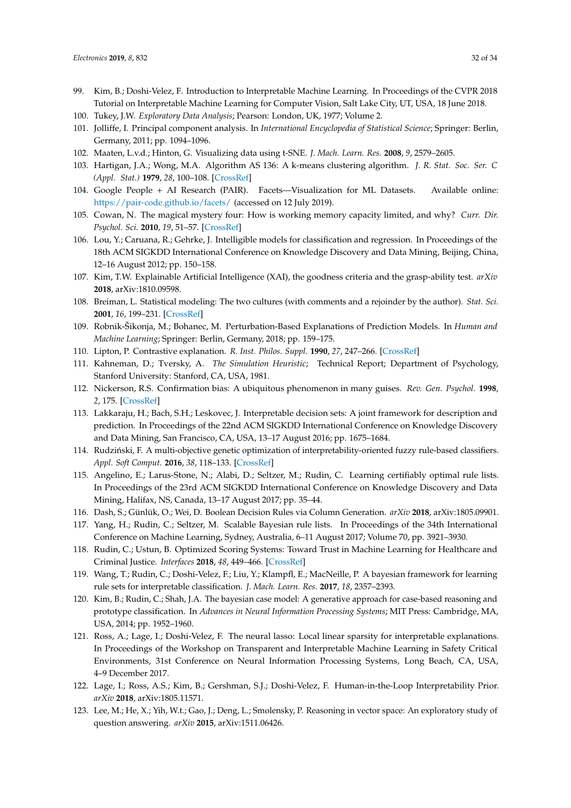- <span id="page-31-0"></span>99. Kim, B.; Doshi-Velez, F. Introduction to Interpretable Machine Learning. In Proceedings of the CVPR 2018 Tutorial on Interpretable Machine Learning for Computer Vision, Salt Lake City, UT, USA, 18 June 2018.
- <span id="page-31-1"></span>100. Tukey, J.W. *Exploratory Data Analysis*; Pearson: London, UK, 1977; Volume 2.
- <span id="page-31-2"></span>101. Jolliffe, I. Principal component analysis. In *International Encyclopedia of Statistical Science*; Springer: Berlin, Germany, 2011; pp. 1094–1096.
- <span id="page-31-3"></span>102. Maaten, L.v.d.; Hinton, G. Visualizing data using t-SNE. *J. Mach. Learn. Res.* **2008**, *9*, 2579–2605.
- <span id="page-31-4"></span>103. Hartigan, J.A.; Wong, M.A. Algorithm AS 136: A k-means clustering algorithm. *J. R. Stat. Soc. Ser. C (Appl. Stat.)* **1979**, *28*, 100–108. [\[CrossRef\]](http://dx.doi.org/10.2307/2346830)
- <span id="page-31-5"></span>104. Google People + AI Research (PAIR). Facets—Visualization for ML Datasets. Available online: <https://pair-code.github.io/facets/> (accessed on 12 July 2019).
- <span id="page-31-6"></span>105. Cowan, N. The magical mystery four: How is working memory capacity limited, and why? *Curr. Dir. Psychol. Sci.* **2010**, *19*, 51–57. [\[CrossRef\]](http://dx.doi.org/10.1177/0963721409359277)
- <span id="page-31-7"></span>106. Lou, Y.; Caruana, R.; Gehrke, J. Intelligible models for classification and regression. In Proceedings of the 18th ACM SIGKDD International Conference on Knowledge Discovery and Data Mining, Beijing, China, 12–16 August 2012; pp. 150–158.
- <span id="page-31-8"></span>107. Kim, T.W. Explainable Artificial Intelligence (XAI), the goodness criteria and the grasp-ability test. *arXiv* **2018**, arXiv:1810.09598.
- <span id="page-31-9"></span>108. Breiman, L. Statistical modeling: The two cultures (with comments and a rejoinder by the author). *Stat. Sci.* **2001**, *16*, 199–231. [\[CrossRef\]](http://dx.doi.org/10.1214/ss/1009213726)
- <span id="page-31-10"></span>109. Robnik-Šikonja, M.; Bohanec, M. Perturbation-Based Explanations of Prediction Models. In *Human and Machine Learning*; Springer: Berlin, Germany, 2018; pp. 159–175.
- <span id="page-31-11"></span>110. Lipton, P. Contrastive explanation. *R. Inst. Philos. Suppl.* **1990**, *27*, 247–266. [\[CrossRef\]](http://dx.doi.org/10.1017/S1358246100005130)
- <span id="page-31-12"></span>111. Kahneman, D.; Tversky, A. *The Simulation Heuristic*; Technical Report; Department of Psychology, Stanford University: Stanford, CA, USA, 1981.
- <span id="page-31-13"></span>112. Nickerson, R.S. Confirmation bias: A ubiquitous phenomenon in many guises. *Rev. Gen. Psychol.* **1998**, *2*, 175. [\[CrossRef\]](http://dx.doi.org/10.1037/1089-2680.2.2.175)
- <span id="page-31-14"></span>113. Lakkaraju, H.; Bach, S.H.; Leskovec, J. Interpretable decision sets: A joint framework for description and prediction. In Proceedings of the 22nd ACM SIGKDD International Conference on Knowledge Discovery and Data Mining, San Francisco, CA, USA, 13–17 August 2016; pp. 1675–1684.
- <span id="page-31-15"></span>114. Rudziński, F. A multi-objective genetic optimization of interpretability-oriented fuzzy rule-based classifiers. *Appl. Soft Comput.* **2016**, *38*, 118–133. [\[CrossRef\]](http://dx.doi.org/10.1016/j.asoc.2015.09.038)
- 115. Angelino, E.; Larus-Stone, N.; Alabi, D.; Seltzer, M.; Rudin, C. Learning certifiably optimal rule lists. In Proceedings of the 23rd ACM SIGKDD International Conference on Knowledge Discovery and Data Mining, Halifax, NS, Canada, 13–17 August 2017; pp. 35–44.
- 116. Dash, S.; Günlük, O.; Wei, D. Boolean Decision Rules via Column Generation. *arXiv* **2018**, arXiv:1805.09901.
- <span id="page-31-16"></span>117. Yang, H.; Rudin, C.; Seltzer, M. Scalable Bayesian rule lists. In Proceedings of the 34th International Conference on Machine Learning, Sydney, Australia, 6–11 August 2017; Volume 70, pp. 3921–3930.
- <span id="page-31-17"></span>118. Rudin, C.; Ustun, B. Optimized Scoring Systems: Toward Trust in Machine Learning for Healthcare and Criminal Justice. *Interfaces* **2018**, *48*, 449–466. [\[CrossRef\]](http://dx.doi.org/10.1287/inte.2018.0957)
- <span id="page-31-18"></span>119. Wang, T.; Rudin, C.; Doshi-Velez, F.; Liu, Y.; Klampfl, E.; MacNeille, P. A bayesian framework for learning rule sets for interpretable classification. *J. Mach. Learn. Res.* **2017**, *18*, 2357–2393.
- <span id="page-31-19"></span>120. Kim, B.; Rudin, C.; Shah, J.A. The bayesian case model: A generative approach for case-based reasoning and prototype classification. In *Advances in Neural Information Processing Systems*; MIT Press: Cambridge, MA, USA, 2014; pp. 1952–1960.
- <span id="page-31-20"></span>121. Ross, A.; Lage, I.; Doshi-Velez, F. The neural lasso: Local linear sparsity for interpretable explanations. In Proceedings of the Workshop on Transparent and Interpretable Machine Learning in Safety Critical Environments, 31st Conference on Neural Information Processing Systems, Long Beach, CA, USA, 4–9 December 2017.
- <span id="page-31-21"></span>122. Lage, I.; Ross, A.S.; Kim, B.; Gershman, S.J.; Doshi-Velez, F. Human-in-the-Loop Interpretability Prior. *arXiv* **2018**, arXiv:1805.11571.
- <span id="page-31-22"></span>123. Lee, M.; He, X.; Yih, W.t.; Gao, J.; Deng, L.; Smolensky, P. Reasoning in vector space: An exploratory study of question answering. *arXiv* **2015**, arXiv:1511.06426.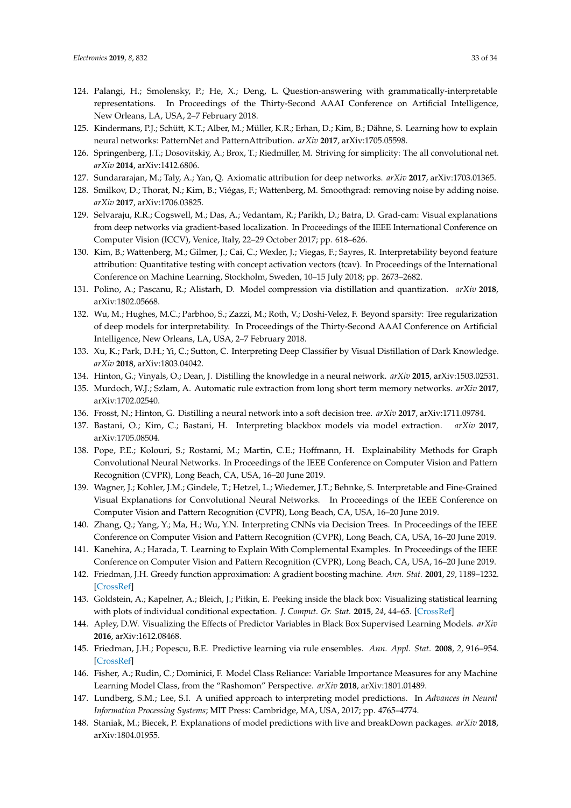- <span id="page-32-0"></span>124. Palangi, H.; Smolensky, P.; He, X.; Deng, L. Question-answering with grammatically-interpretable representations. In Proceedings of the Thirty-Second AAAI Conference on Artificial Intelligence, New Orleans, LA, USA, 2–7 February 2018.
- <span id="page-32-1"></span>125. Kindermans, P.J.; Schütt, K.T.; Alber, M.; Müller, K.R.; Erhan, D.; Kim, B.; Dähne, S. Learning how to explain neural networks: PatternNet and PatternAttribution. *arXiv* **2017**, arXiv:1705.05598.
- <span id="page-32-2"></span>126. Springenberg, J.T.; Dosovitskiy, A.; Brox, T.; Riedmiller, M. Striving for simplicity: The all convolutional net. *arXiv* **2014**, arXiv:1412.6806.
- <span id="page-32-4"></span><span id="page-32-3"></span>127. Sundararajan, M.; Taly, A.; Yan, Q. Axiomatic attribution for deep networks. *arXiv* **2017**, arXiv:1703.01365.
- 128. Smilkov, D.; Thorat, N.; Kim, B.; Viégas, F.; Wattenberg, M. Smoothgrad: removing noise by adding noise. *arXiv* **2017**, arXiv:1706.03825.
- <span id="page-32-5"></span>129. Selvaraju, R.R.; Cogswell, M.; Das, A.; Vedantam, R.; Parikh, D.; Batra, D. Grad-cam: Visual explanations from deep networks via gradient-based localization. In Proceedings of the IEEE International Conference on Computer Vision (ICCV), Venice, Italy, 22–29 October 2017; pp. 618–626.
- <span id="page-32-6"></span>130. Kim, B.; Wattenberg, M.; Gilmer, J.; Cai, C.; Wexler, J.; Viegas, F.; Sayres, R. Interpretability beyond feature attribution: Quantitative testing with concept activation vectors (tcav). In Proceedings of the International Conference on Machine Learning, Stockholm, Sweden, 10–15 July 2018; pp. 2673–2682.
- <span id="page-32-7"></span>131. Polino, A.; Pascanu, R.; Alistarh, D. Model compression via distillation and quantization. *arXiv* **2018**, arXiv:1802.05668.
- <span id="page-32-8"></span>132. Wu, M.; Hughes, M.C.; Parbhoo, S.; Zazzi, M.; Roth, V.; Doshi-Velez, F. Beyond sparsity: Tree regularization of deep models for interpretability. In Proceedings of the Thirty-Second AAAI Conference on Artificial Intelligence, New Orleans, LA, USA, 2–7 February 2018.
- <span id="page-32-9"></span>133. Xu, K.; Park, D.H.; Yi, C.; Sutton, C. Interpreting Deep Classifier by Visual Distillation of Dark Knowledge. *arXiv* **2018**, arXiv:1803.04042.
- <span id="page-32-11"></span><span id="page-32-10"></span>134. Hinton, G.; Vinyals, O.; Dean, J. Distilling the knowledge in a neural network. *arXiv* **2015**, arXiv:1503.02531.
- 135. Murdoch, W.J.; Szlam, A. Automatic rule extraction from long short term memory networks. *arXiv* **2017**, arXiv:1702.02540.
- 136. Frosst, N.; Hinton, G. Distilling a neural network into a soft decision tree. *arXiv* **2017**, arXiv:1711.09784.
- <span id="page-32-12"></span>137. Bastani, O.; Kim, C.; Bastani, H. Interpreting blackbox models via model extraction. *arXiv* **2017**, arXiv:1705.08504.
- <span id="page-32-13"></span>138. Pope, P.E.; Kolouri, S.; Rostami, M.; Martin, C.E.; Hoffmann, H. Explainability Methods for Graph Convolutional Neural Networks. In Proceedings of the IEEE Conference on Computer Vision and Pattern Recognition (CVPR), Long Beach, CA, USA, 16–20 June 2019.
- <span id="page-32-14"></span>139. Wagner, J.; Kohler, J.M.; Gindele, T.; Hetzel, L.; Wiedemer, J.T.; Behnke, S. Interpretable and Fine-Grained Visual Explanations for Convolutional Neural Networks. In Proceedings of the IEEE Conference on Computer Vision and Pattern Recognition (CVPR), Long Beach, CA, USA, 16–20 June 2019.
- <span id="page-32-15"></span>140. Zhang, Q.; Yang, Y.; Ma, H.; Wu, Y.N. Interpreting CNNs via Decision Trees. In Proceedings of the IEEE Conference on Computer Vision and Pattern Recognition (CVPR), Long Beach, CA, USA, 16–20 June 2019.
- <span id="page-32-16"></span>141. Kanehira, A.; Harada, T. Learning to Explain With Complemental Examples. In Proceedings of the IEEE Conference on Computer Vision and Pattern Recognition (CVPR), Long Beach, CA, USA, 16–20 June 2019.
- <span id="page-32-17"></span>142. Friedman, J.H. Greedy function approximation: A gradient boosting machine. *Ann. Stat.* **2001**, *29*, 1189–1232. [\[CrossRef\]](http://dx.doi.org/10.1214/aos/1013203451)
- <span id="page-32-18"></span>143. Goldstein, A.; Kapelner, A.; Bleich, J.; Pitkin, E. Peeking inside the black box: Visualizing statistical learning with plots of individual conditional expectation. *J. Comput. Gr. Stat.* **2015**, *24*, 44–65. [\[CrossRef\]](http://dx.doi.org/10.1080/10618600.2014.907095)
- <span id="page-32-19"></span>144. Apley, D.W. Visualizing the Effects of Predictor Variables in Black Box Supervised Learning Models. *arXiv* **2016**, arXiv:1612.08468.
- <span id="page-32-20"></span>145. Friedman, J.H.; Popescu, B.E. Predictive learning via rule ensembles. *Ann. Appl. Stat.* **2008**, *2*, 916–954. [\[CrossRef\]](http://dx.doi.org/10.1214/07-AOAS148)
- <span id="page-32-21"></span>146. Fisher, A.; Rudin, C.; Dominici, F. Model Class Reliance: Variable Importance Measures for any Machine Learning Model Class, from the "Rashomon" Perspective. *arXiv* **2018**, arXiv:1801.01489.
- <span id="page-32-22"></span>147. Lundberg, S.M.; Lee, S.I. A unified approach to interpreting model predictions. In *Advances in Neural Information Processing Systems*; MIT Press: Cambridge, MA, USA, 2017; pp. 4765–4774.
- <span id="page-32-23"></span>148. Staniak, M.; Biecek, P. Explanations of model predictions with live and breakDown packages. *arXiv* **2018**, arXiv:1804.01955.